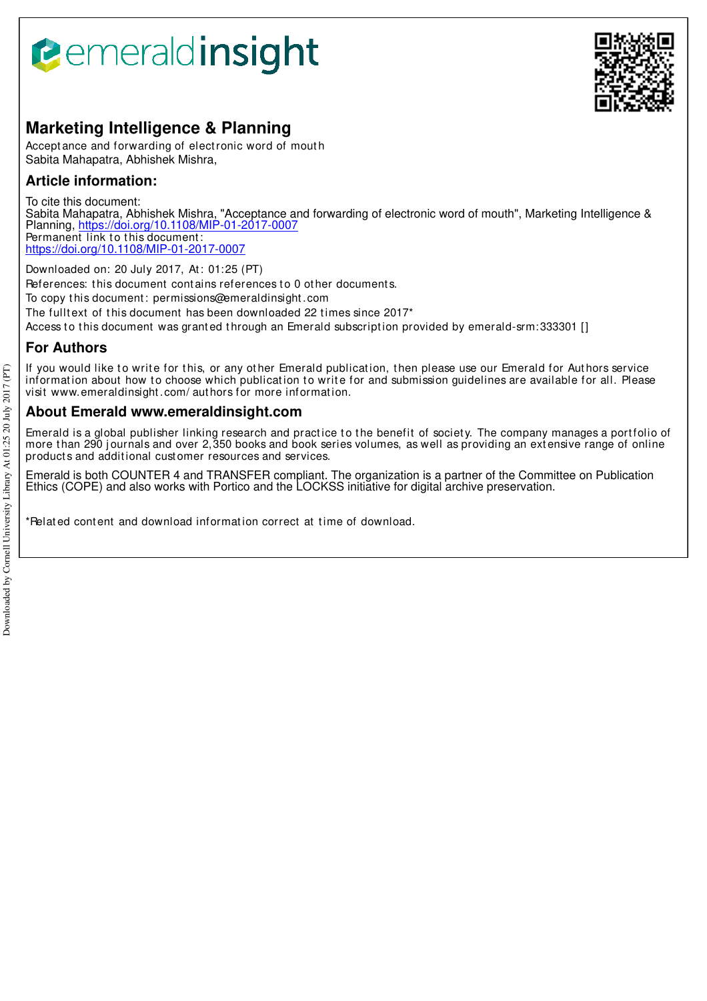# **B**emeraldinsight



# **Marketing Intelligence & Planning**

Accept ance and forwarding of elect ronic word of mout h Sabita Mahapatra, Abhishek Mishra,

# **Article information:**

To cite this document: Sabita Mahapatra, Abhishek Mishra, "Acceptance and forwarding of electronic word of mouth", Marketing Intelligence & Planning, https://doi.org/10.1108/MIP-01-2017-0007 Permanent link to this document: https://doi.org/10.1108/MIP-01-2017-0007

Downloaded on: 20 July 2017, At : 01:25 (PT)

References: this document contains references to 0 other documents.

To copy t his document : permissions@emeraldinsight .com

The fulltext of this document has been downloaded 22 times since 2017<sup>\*</sup>

Access to this document was granted through an Emerald subscription provided by emerald-srm:333301 []

# **For Authors**

If you would like to write for this, or any other Emerald publication, then please use our Emerald for Authors service information about how to choose which publication to write for and submission guidelines are available for all. Please visit www.emeraldinsight .com/ aut hors for more informat ion.

# **About Emerald www.emeraldinsight.com**

Emerald is a global publisher linking research and practice to the benefit of society. The company manages a portfolio of more than 290 journals and over 2,350 books and book series volumes, as well as providing an extensive range of online product s and addit ional cust omer resources and services.

Emerald is both COUNTER 4 and TRANSFER compliant. The organization is a partner of the Committee on Publication Ethics (COPE) and also works with Portico and the LOCKSS initiative for digital archive preservation.

\*Relat ed cont ent and download informat ion correct at t ime of download.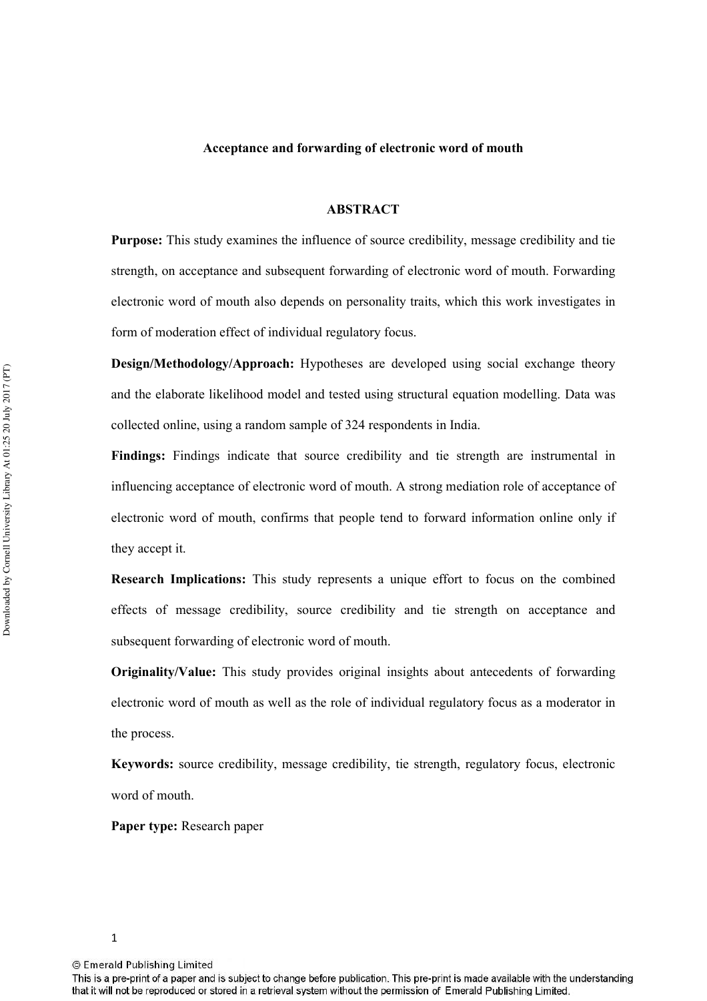## **Acceptance and forwarding of electronic word of mouth**

#### **ABSTRACT**

**Purpose:** This study examines the influence of source credibility, message credibility and tie strength, on acceptance and subsequent forwarding of electronic word of mouth. Forwarding electronic word of mouth also depends on personality traits, which this work investigates in form of moderation effect of individual regulatory focus.

**Design/Methodology/Approach:** Hypotheses are developed using social exchange theory and the elaborate likelihood model and tested using structural equation modelling. Data was collected online, using a random sample of 324 respondents in India.

**Findings:** Findings indicate that source credibility and tie strength are instrumental in influencing acceptance of electronic word of mouth. A strong mediation role of acceptance of electronic word of mouth, confirms that people tend to forward information online only if they accept it.

**Research Implications:** This study represents a unique effort to focus on the combined effects of message credibility, source credibility and tie strength on acceptance and subsequent forwarding of electronic word of mouth.

**Originality/Value:** This study provides original insights about antecedents of forwarding electronic word of mouth as well as the role of individual regulatory focus as a moderator in the process.

**Keywords:** source credibility, message credibility, tie strength, regulatory focus, electronic word of mouth.

**Paper type:** Research paper

This is a pre-print of a paper and is subject to change before publication. This pre-print is made available with the understanding that it will not be reproduced or stored in a retrieval system without the permission of Emerald Publishing Limited.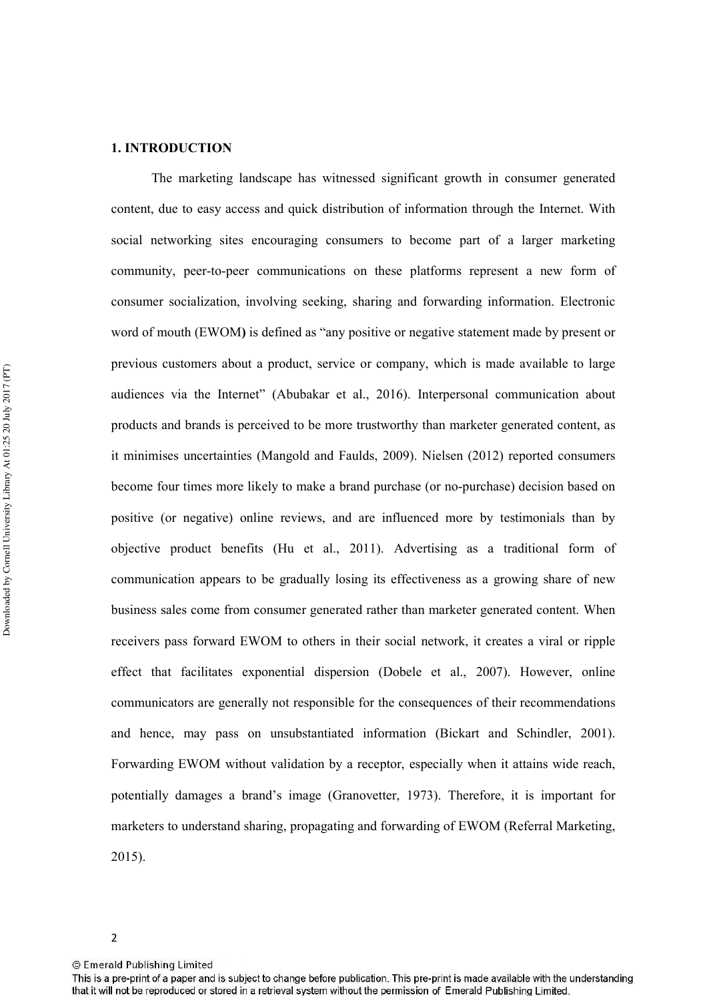# **1. INTRODUCTION**

The marketing landscape has witnessed significant growth in consumer generated content, due to easy access and quick distribution of information through the Internet. With social networking sites encouraging consumers to become part of a larger marketing community, peer-to-peer communications on these platforms represent a new form of consumer socialization, involving seeking, sharing and forwarding information. Electronic word of mouth (EWOM**)** is defined as "any positive or negative statement made by present or previous customers about a product, service or company, which is made available to large audiences via the Internet" (Abubakar et al., 2016). Interpersonal communication about products and brands is perceived to be more trustworthy than marketer generated content, as it minimises uncertainties (Mangold and Faulds, 2009). Nielsen (2012) reported consumers become four times more likely to make a brand purchase (or no-purchase) decision based on positive (or negative) online reviews, and are influenced more by testimonials than by objective product benefits (Hu et al., 2011). Advertising as a traditional form of communication appears to be gradually losing its effectiveness as a growing share of new business sales come from consumer generated rather than marketer generated content. When receivers pass forward EWOM to others in their social network, it creates a viral or ripple effect that facilitates exponential dispersion (Dobele et al., 2007). However, online communicators are generally not responsible for the consequences of their recommendations and hence, may pass on unsubstantiated information (Bickart and Schindler, 2001). Forwarding EWOM without validation by a receptor, especially when it attains wide reach, potentially damages a brand's image (Granovetter, 1973). Therefore, it is important for marketers to understand sharing, propagating and forwarding of EWOM (Referral Marketing, 2015).

This is a pre-print of a paper and is subject to change before publication. This pre-print is made available with the understanding that it will not be reproduced or stored in a retrieval system without the permission of Emerald Publishing Limited.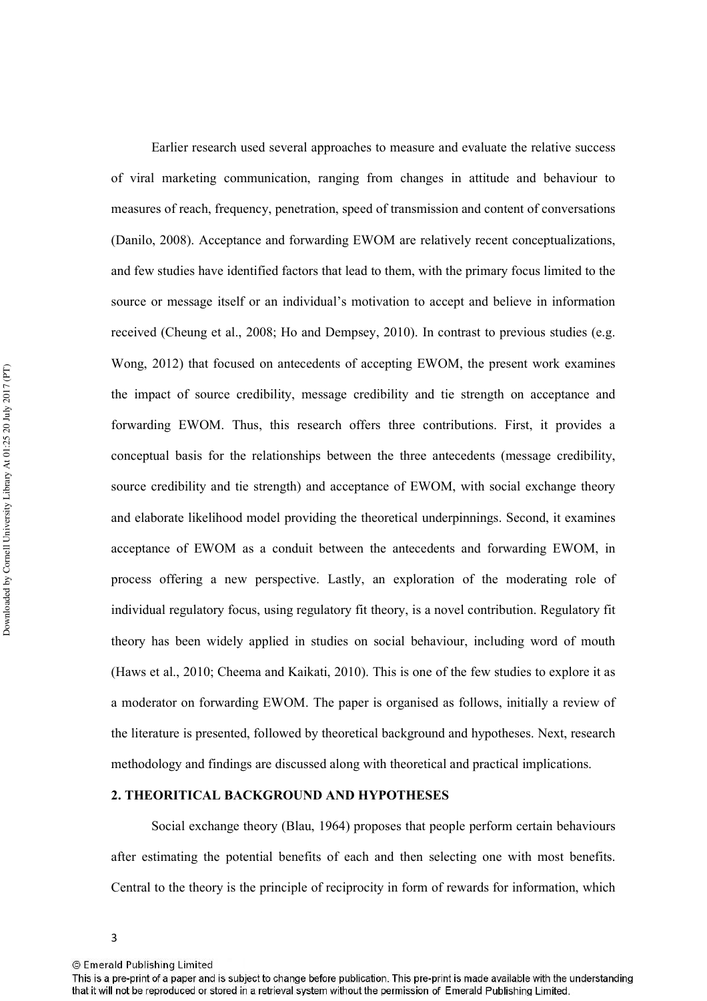Earlier research used several approaches to measure and evaluate the relative success of viral marketing communication, ranging from changes in attitude and behaviour to measures of reach, frequency, penetration, speed of transmission and content of conversations (Danilo, 2008). Acceptance and forwarding EWOM are relatively recent conceptualizations, and few studies have identified factors that lead to them, with the primary focus limited to the source or message itself or an individual's motivation to accept and believe in information received (Cheung et al., 2008; Ho and Dempsey, 2010). In contrast to previous studies (e.g. Wong, 2012) that focused on antecedents of accepting EWOM, the present work examines the impact of source credibility, message credibility and tie strength on acceptance and forwarding EWOM. Thus, this research offers three contributions. First, it provides a conceptual basis for the relationships between the three antecedents (message credibility, source credibility and tie strength) and acceptance of EWOM, with social exchange theory and elaborate likelihood model providing the theoretical underpinnings. Second, it examines acceptance of EWOM as a conduit between the antecedents and forwarding EWOM, in process offering a new perspective. Lastly, an exploration of the moderating role of individual regulatory focus, using regulatory fit theory, is a novel contribution. Regulatory fit theory has been widely applied in studies on social behaviour, including word of mouth (Haws et al., 2010; Cheema and Kaikati, 2010). This is one of the few studies to explore it as a moderator on forwarding EWOM. The paper is organised as follows, initially a review of the literature is presented, followed by theoretical background and hypotheses. Next, research methodology and findings are discussed along with theoretical and practical implications.

# **2. THEORITICAL BACKGROUND AND HYPOTHESES**

Social exchange theory (Blau, 1964) proposes that people perform certain behaviours after estimating the potential benefits of each and then selecting one with most benefits. Central to the theory is the principle of reciprocity in form of rewards for information, which

<sup>3</sup> 

<sup>©</sup> Emerald Publishing Limited

This is a pre-print of a paper and is subject to change before publication. This pre-print is made available with the understanding that it will not be reproduced or stored in a retrieval system without the permission of Emerald Publishing Limited.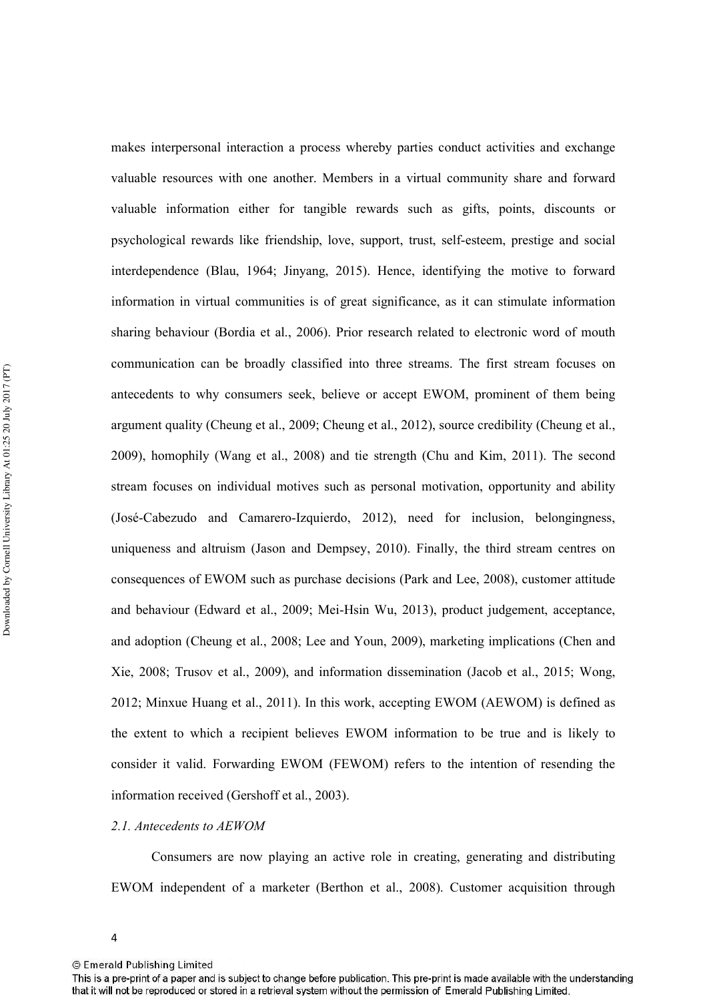makes interpersonal interaction a process whereby parties conduct activities and exchange valuable resources with one another. Members in a virtual community share and forward valuable information either for tangible rewards such as gifts, points, discounts or psychological rewards like friendship, love, support, trust, self'esteem, prestige and social interdependence (Blau, 1964; Jinyang, 2015). Hence, identifying the motive to forward information in virtual communities is of great significance, as it can stimulate information sharing behaviour (Bordia et al., 2006). Prior research related to electronic word of mouth communication can be broadly classified into three streams. The first stream focuses on antecedents to why consumers seek, believe or accept EWOM, prominent of them being argument quality (Cheung et al., 2009; Cheung et al., 2012), source credibility (Cheung et al., 2009), homophily (Wang et al., 2008) and tie strength (Chu and Kim, 2011). The second stream focuses on individual motives such as personal motivation, opportunity and ability (José'Cabezudo and Camarero'Izquierdo, 2012), need for inclusion, belongingness, uniqueness and altruism (Jason and Dempsey, 2010). Finally, the third stream centres on consequences of EWOM such as purchase decisions (Park and Lee, 2008), customer attitude and behaviour (Edward et al., 2009; Mei-Hsin Wu, 2013), product judgement, acceptance, and adoption (Cheung et al., 2008; Lee and Youn, 2009), marketing implications (Chen and Xie, 2008; Trusov et al., 2009), and information dissemination (Jacob et al., 2015; Wong, 2012; Minxue Huang et al., 2011). In this work, accepting EWOM (AEWOM) is defined as the extent to which a recipient believes EWOM information to be true and is likely to consider it valid. Forwarding EWOM (FEWOM) refers to the intention of resending the information received (Gershoff et al., 2003).

# 2.1. Antecedents to AEWOM

Consumers are now playing an active role in creating, generating and distributing EWOM independent of a marketer (Berthon et al., 2008). Customer acquisition through

<sup>4</sup> 

<sup>©</sup> Emerald Publishing Limited

This is a pre-print of a paper and is subject to change before publication. This pre-print is made available with the understanding that it will not be reproduced or stored in a retrieval system without the permission of Emerald Publishing Limited.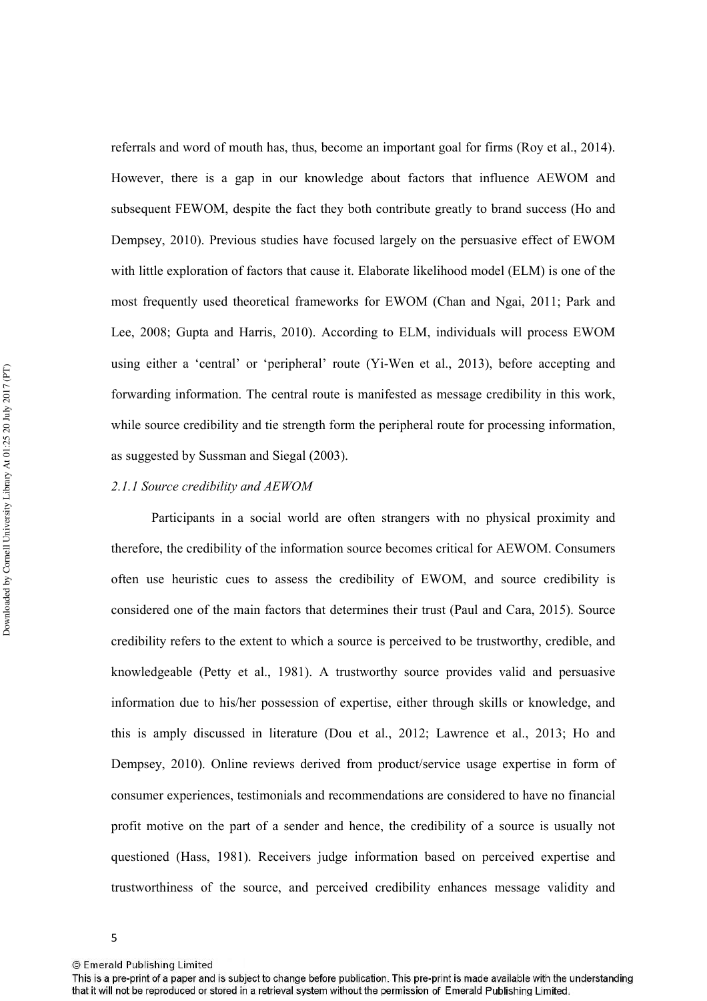referrals and word of mouth has, thus, become an important goal for firms (Roy et al., 2014). However, there is a gap in our knowledge about factors that influence AEWOM and subsequent FEWOM, despite the fact they both contribute greatly to brand success (Ho and Dempsey, 2010). Previous studies have focused largely on the persuasive effect of EWOM with little exploration of factors that cause it. Elaborate likelihood model (ELM) is one of the most frequently used theoretical frameworks for EWOM (Chan and Ngai, 2011; Park and Lee, 2008; Gupta and Harris, 2010). According to ELM, individuals will process EWOM using either a 'central' or 'peripheral' route (Yi-Wen et al., 2013), before accepting and forwarding information. The central route is manifested as message credibility in this work, while source credibility and tie strength form the peripheral route for processing information, as suggested by Sussman and Siegal (2003).

## 2.1.1 Source credibility and AEWOM

Participants in a social world are often strangers with no physical proximity and therefore, the credibility of the information source becomes critical for AEWOM. Consumers often use heuristic cues to assess the credibility of EWOM, and source credibility is considered one of the main factors that determines their trust (Paul and Cara, 2015). Source credibility refers to the extent to which a source is perceived to be trustworthy, credible, and knowledgeable (Petty et al., 1981). A trustworthy source provides valid and persuasive information due to his/her possession of expertise, either through skills or knowledge, and this is amply discussed in literature (Dou et al., 2012; Lawrence et al., 2013; Ho and Dempsey, 2010). Online reviews derived from product/service usage expertise in form of consumer experiences, testimonials and recommendations are considered to have no financial profit motive on the part of a sender and hence, the credibility of a source is usually not questioned (Hass, 1981). Receivers judge information based on perceived expertise and trustworthiness of the source, and perceived credibility enhances message validity and

<sup>©</sup> Emerald Publishing Limited

This is a pre-print of a paper and is subject to change before publication. This pre-print is made available with the understanding that it will not be reproduced or stored in a retrieval system without the permission of Emerald Publishing Limited.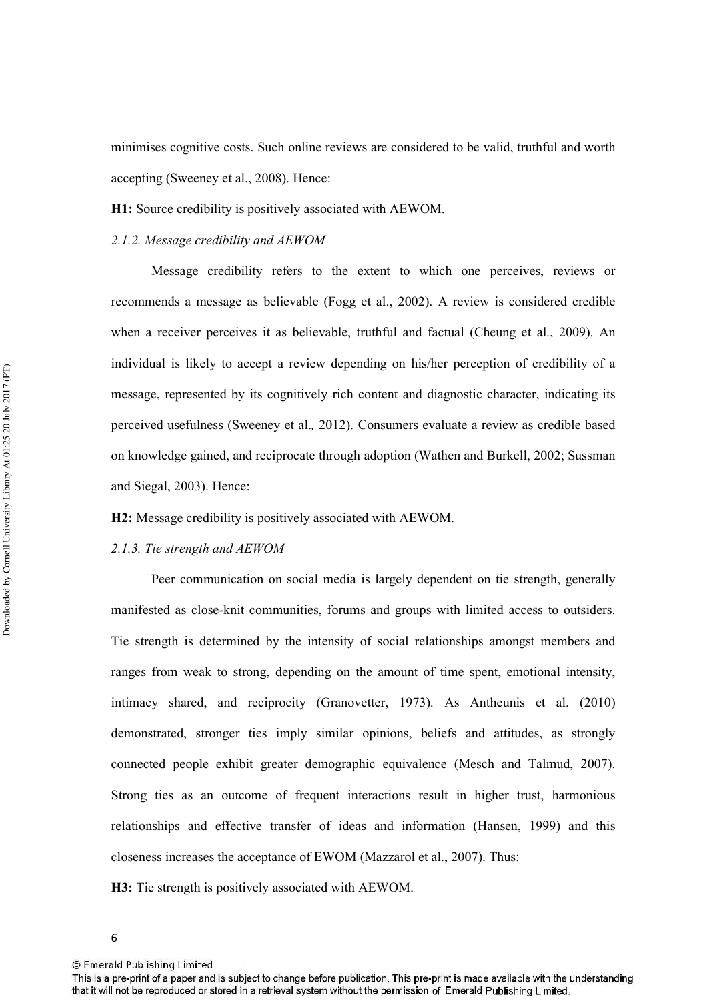minimises cognitive costs. Such online reviews are considered to be valid, truthful and worth accepting (Sweeney et al., 2008). Hence:

**H1:** Source credibility is positively associated with AEWOM.

# 2.1.2. Message credibility and AEWOM

Message credibility refers to the extent to which one perceives, reviews or recommends a message as believable (Fogg et al., 2002). A review is considered credible when a receiver perceives it as believable, truthful and factual (Cheung et al., 2009). An individual is likely to accept a review depending on his/her perception of credibility of a message, represented by its cognitively rich content and diagnostic character, indicating its perceived usefulness (Sweeney et al.2012). Consumers evaluate a review as credible based on knowledge gained, and reciprocate through adoption (Wathen and Burkell, 2002; Sussman and Siegal, 2003). Hence:

**H2:** Message credibility is positively associated with AEWOM.

## 2.1.3. Tie strength and AEWOM

Peer communication on social media is largely dependent on tie strength, generally manifested as close-knit communities, forums and groups with limited access to outsiders. Tie strength is determined by the intensity of social relationships amongst members and ranges from weak to strong, depending on the amount of time spent, emotional intensity, intimacy shared, and reciprocity (Granovetter, 1973). As Antheunis et al. (2010) demonstrated, stronger ties imply similar opinions, beliefs and attitudes, as strongly connected people exhibit greater demographic equivalence (Mesch and Talmud, 2007). Strong ties as an outcome of frequent interactions result in higher trust, harmonious relationships and effective transfer of ideas and information (Hansen, 1999) and this closeness increases the acceptance of EWOM (Mazzarol et al., 2007). Thus:

**H3:** Tie strength is positively associated with AEWOM.

This is a pre-print of a paper and is subject to change before publication. This pre-print is made available with the understanding that it will not be reproduced or stored in a retrieval system without the permission of Emerald Publishing Limited.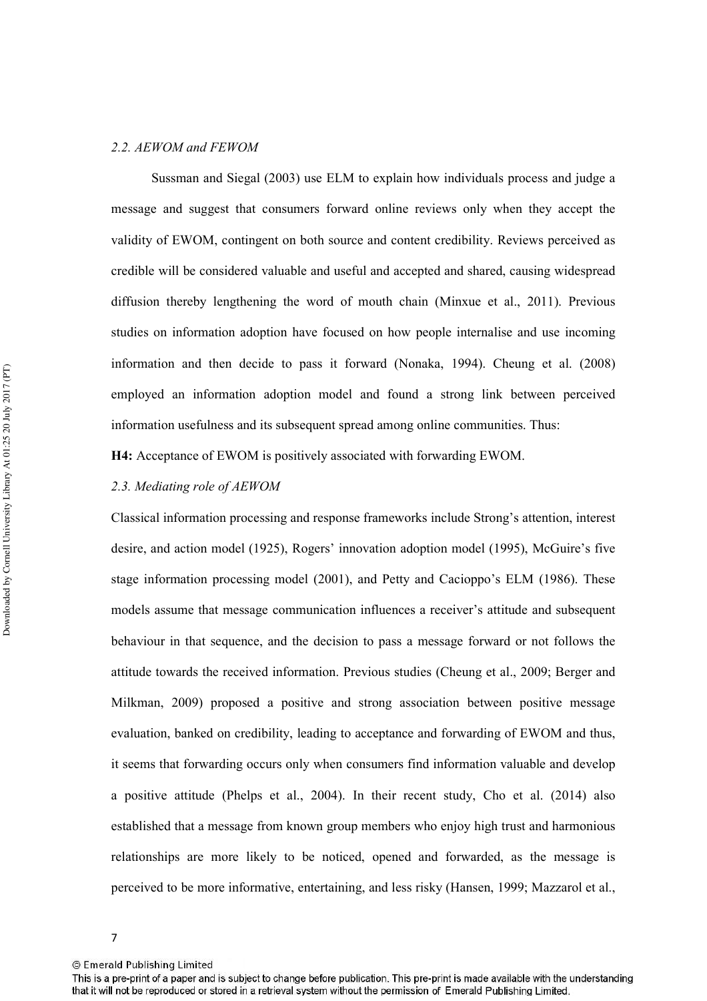# 2.2. AEWOM and FEWOM

Sussman and Siegal (2003) use ELM to explain how individuals process and judge a message and suggest that consumers forward online reviews only when they accept the validity of EWOM, contingent on both source and content credibility. Reviews perceived as credible will be considered valuable and useful and accepted and shared, causing widespread diffusion thereby lengthening the word of mouth chain (Minxue et al., 2011). Previous studies on information adoption have focused on how people internalise and use incoming information and then decide to pass it forward (Nonaka, 1994). Cheung et al. (2008) employed an information adoption model and found a strong link between perceived information usefulness and its subsequent spread among online communities. Thus:

**H4:** Acceptance of EWOM is positively associated with forwarding EWOM.

# 2.3. Mediating role of AEWOM

Classical information processing and response frameworks include Strong's attention, interest desire, and action model (1925), Rogers' innovation adoption model (1995), McGuire's five stage information processing model (2001), and Petty and Cacioppo's ELM (1986). These models assume that message communication influences a receiver's attitude and subsequent behaviour in that sequence, and the decision to pass a message forward or not follows the attitude towards the received information. Previous studies (Cheung et al., 2009; Berger and Milkman, 2009) proposed a positive and strong association between positive message evaluation, banked on credibility, leading to acceptance and forwarding of EWOM and thus, it seems that forwarding occurs only when consumers find information valuable and develop a positive attitude (Phelps et al., 2004). In their recent study, Cho et al. (2014) also established that a message from known group members who enjoy high trust and harmonious relationships are more likely to be noticed, opened and forwarded, as the message is perceived to be more informative, entertaining, and less risky (Hansen, 1999; Mazzarol et al.,

<sup>7</sup> 

<sup>©</sup> Emerald Publishing Limited

This is a pre-print of a paper and is subject to change before publication. This pre-print is made available with the understanding that it will not be reproduced or stored in a retrieval system without the permission of Emerald Publishing Limited.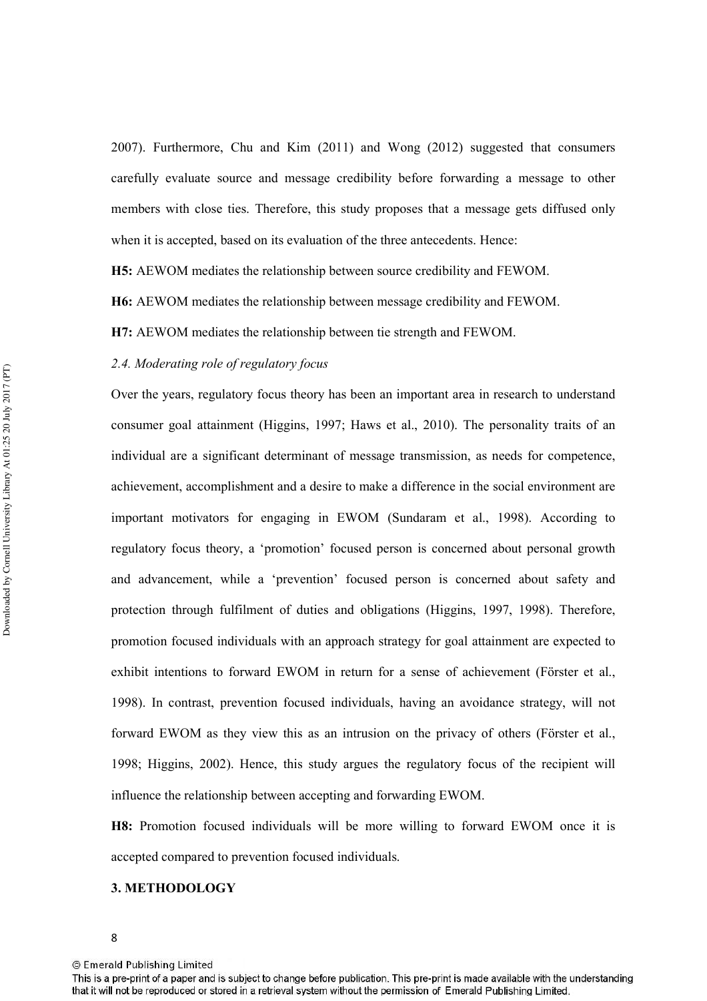2007). Furthermore, Chu and Kim (2011) and Wong (2012) suggested that consumers carefully evaluate source and message credibility before forwarding a message to other members with close ties. Therefore, this study proposes that a message gets diffused only when it is accepted, based on its evaluation of the three antecedents. Hence:

**H5:** AEWOM mediates the relationship between source credibility and FEWOM.

**H6:** AEWOM mediates the relationship between message credibility and FEWOM.

**H7:** AEWOM mediates the relationship between tie strength and FEWOM.

## 2.4. Moderating role of regulatory focus

Over the years, regulatory focus theory has been an important area in research to understand consumer goal attainment (Higgins, 1997; Haws et al., 2010). The personality traits of an individual are a significant determinant of message transmission, as needs for competence, achievement, accomplishment and a desire to make a difference in the social environment are important motivators for engaging in EWOM (Sundaram et al., 1998). According to regulatory focus theory, a 'promotion' focused person is concerned about personal growth and advancement, while a 'prevention' focused person is concerned about safety and protection through fulfilment of duties and obligations (Higgins, 1997, 1998). Therefore, promotion focused individuals with an approach strategy for goal attainment are expected to exhibit intentions to forward EWOM in return for a sense of achievement (Förster et al., 1998). In contrast, prevention focused individuals, having an avoidance strategy, will not forward EWOM as they view this as an intrusion on the privacy of others (Förster et al., 1998; Higgins, 2002). Hence, this study argues the regulatory focus of the recipient will influence the relationship between accepting and forwarding EWOM.

**H8:** Promotion focused individuals will be more willing to forward EWOM once it is accepted compared to prevention focused individuals.

## **3. METHODOLOGY**

This is a pre-print of a paper and is subject to change before publication. This pre-print is made available with the understanding that it will not be reproduced or stored in a retrieval system without the permission of Emerald Publishing Limited.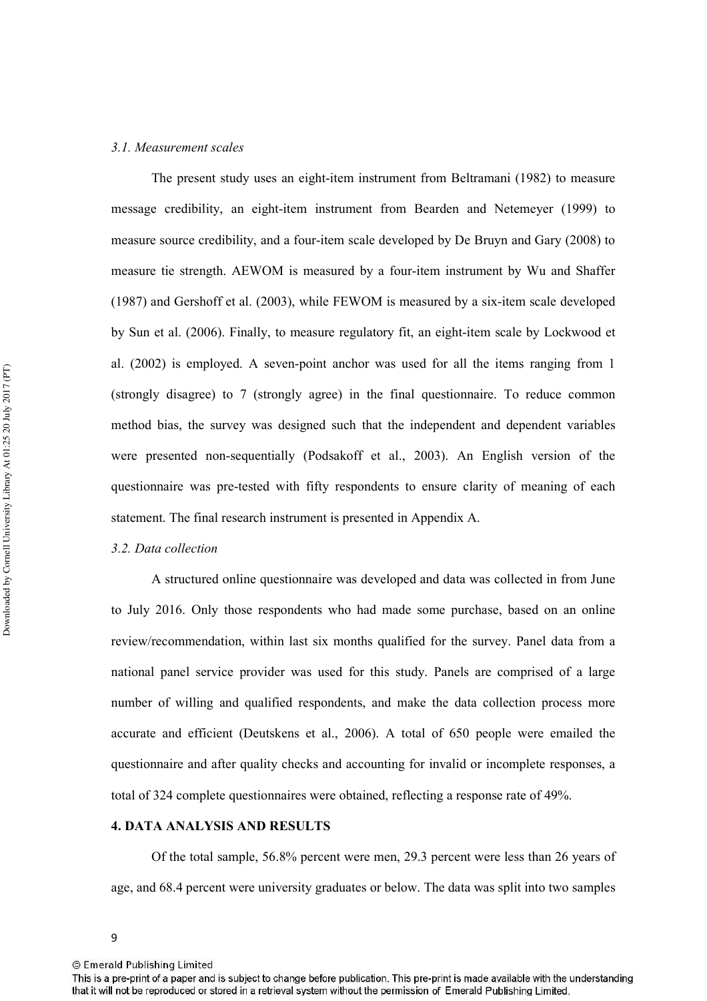## 3.1. Measurement scales

The present study uses an eight-item instrument from Beltramani (1982) to measure message credibility, an eight-item instrument from Bearden and Netemeyer (1999) to measure source credibility, and a four-item scale developed by De Bruyn and Gary (2008) to measure tie strength. AEWOM is measured by a four-item instrument by Wu and Shaffer (1987) and Gershoff et al. (2003), while FEWOM is measured by a six'item scale developed by Sun et al. (2006). Finally, to measure regulatory fit, an eight-item scale by Lockwood et al. (2002) is employed. A seven-point anchor was used for all the items ranging from 1 (strongly disagree) to 7 (strongly agree) in the final questionnaire. To reduce common method bias, the survey was designed such that the independent and dependent variables were presented non'sequentially (Podsakoff et al., 2003). An English version of the questionnaire was pre-tested with fifty respondents to ensure clarity of meaning of each statement. The final research instrument is presented in Appendix A.

## 3.2. Data collection

A structured online questionnaire was developed and data was collected in from June to July 2016. Only those respondents who had made some purchase, based on an online review/recommendation, within last six months qualified for the survey. Panel data from a national panel service provider was used for this study. Panels are comprised of a large number of willing and qualified respondents, and make the data collection process more accurate and efficient (Deutskens et al., 2006). A total of 650 people were emailed the questionnaire and after quality checks and accounting for invalid or incomplete responses, a total of 324 complete questionnaires were obtained, reflecting a response rate of 49%.

# **4. DATA ANALYSIS AND RESULTS**

Of the total sample, 56.8% percent were men, 29.3 percent were less than 26 years of age, and 68.4 percent were university graduates or below. The data was split into two samples

<sup>9</sup> 

This is a pre-print of a paper and is subject to change before publication. This pre-print is made available with the understanding that it will not be reproduced or stored in a retrieval system without the permission of Emerald Publishing Limited.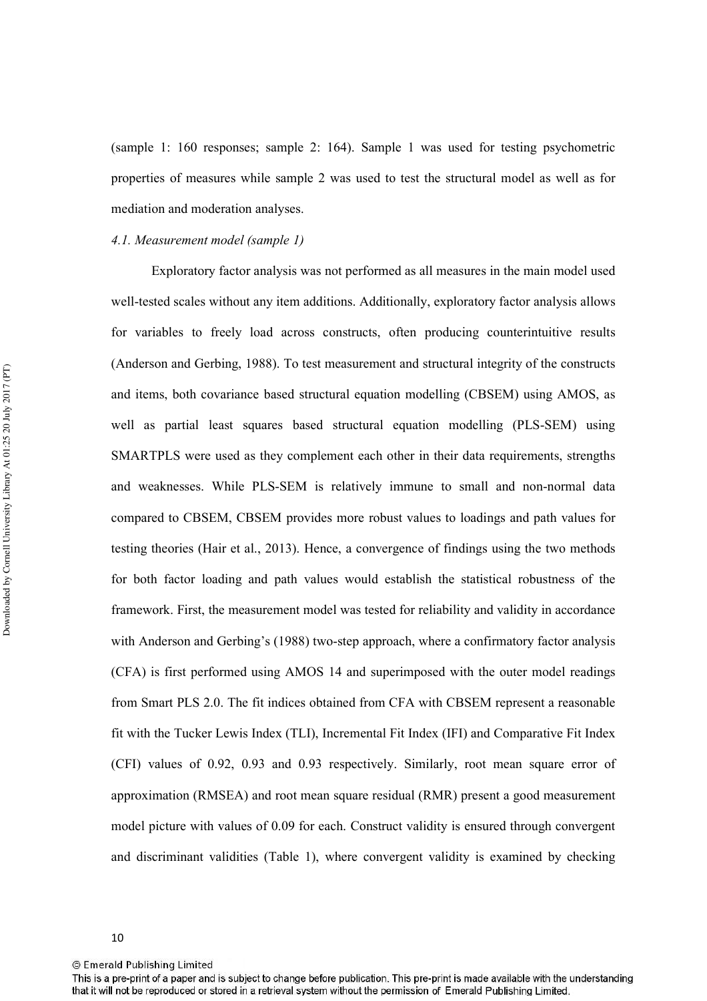(sample 1: 160 responses; sample 2: 164). Sample 1 was used for testing psychometric properties of measures while sample 2 was used to test the structural model as well as for mediation and moderation analyses.

## 4.1. Measurement model (sample 1)

Exploratory factor analysis was not performed as all measures in the main model used well'tested scales without any item additions. Additionally, exploratory factor analysis allows for variables to freely load across constructs, often producing counterintuitive results (Anderson and Gerbing, 1988). To test measurement and structural integrity of the constructs and items, both covariance based structural equation modelling (CBSEM) using AMOS, as well as partial least squares based structural equation modelling (PLS-SEM) using SMARTPLS were used as they complement each other in their data requirements, strengths and weaknesses. While PLS-SEM is relatively immune to small and non-normal data compared to CBSEM, CBSEM provides more robust values to loadings and path values for testing theories (Hair et al., 2013). Hence, a convergence of findings using the two methods for both factor loading and path values would establish the statistical robustness of the framework. First, the measurement model was tested for reliability and validity in accordance with Anderson and Gerbing's (1988) two-step approach, where a confirmatory factor analysis (CFA) is first performed using AMOS 14 and superimposed with the outer model readings from Smart PLS 2.0. The fit indices obtained from CFA with CBSEM represent a reasonable fit with the Tucker Lewis Index (TLI), Incremental Fit Index (IFI) and Comparative Fit Index (CFI) values of 0.92, 0.93 and 0.93 respectively. Similarly, root mean square error of approximation (RMSEA) and root mean square residual (RMR) present a good measurement model picture with values of 0.09 for each. Construct validity is ensured through convergent and discriminant validities (Table 1), where convergent validity is examined by checking

This is a pre-print of a paper and is subject to change before publication. This pre-print is made available with the understanding that it will not be reproduced or stored in a retrieval system without the permission of Emerald Publishing Limited.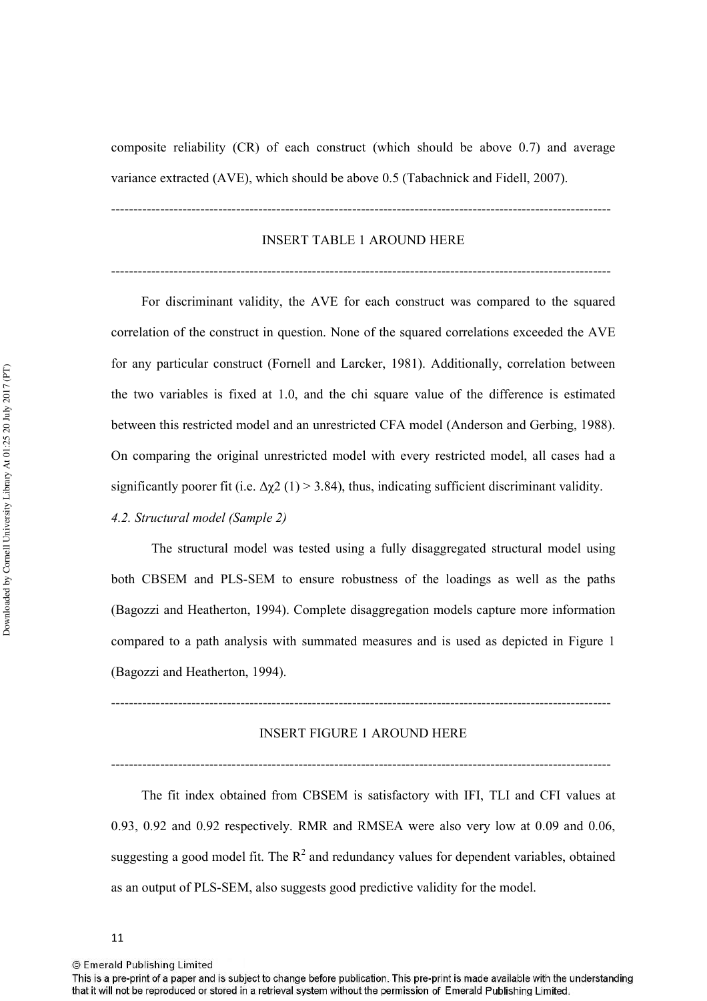composite reliability (CR) of each construct (which should be above 0.7) and average variance extracted (AVE), which should be above 0.5 (Tabachnick and Fidell, 2007).

''''''''''''''''''''''''''''''''''''''''''''''''''''''''''''''''''''''''''''''''''''''''''''''''''''''''''''''''

# INSERT TABLE 1 AROUND HERE

''''''''''''''''''''''''''''''''''''''''''''''''''''''''''''''''''''''''''''''''''''''''''''''''''''''''''''''''

 For discriminant validity, the AVE for each construct was compared to the squared correlation of the construct in question. None of the squared correlations exceeded the AVE for any particular construct (Fornell and Larcker, 1981). Additionally, correlation between the two variables is fixed at 1.0, and the chi square value of the difference is estimated between this restricted model and an unrestricted CFA model (Anderson and Gerbing, 1988). On comparing the original unrestricted model with every restricted model, all cases had a significantly poorer fit (i.e.  $\Delta \chi^2$  (1) > 3.84), thus, indicating sufficient discriminant validity.

4.2. Structural model (Sample 2)

The structural model was tested using a fully disaggregated structural model using both CBSEM and PLS'SEM to ensure robustness of the loadings as well as the paths (Bagozzi and Heatherton, 1994). Complete disaggregation models capture more information compared to a path analysis with summated measures and is used as depicted in Figure 1 (Bagozzi and Heatherton, 1994).

''''''''''''''''''''''''''''''''''''''''''''''''''''''''''''''''''''''''''''''''''''''''''''''''''''''''''''''''

# INSERT FIGURE 1 AROUND HERE

''''''''''''''''''''''''''''''''''''''''''''''''''''''''''''''''''''''''''''''''''''''''''''''''''''''''''''''''

 The fit index obtained from CBSEM is satisfactory with IFI, TLI and CFI values at 0.93, 0.92 and 0.92 respectively. RMR and RMSEA were also very low at 0.09 and 0.06, suggesting a good model fit. The  $R^2$  and redundancy values for dependent variables, obtained as an output of PLS-SEM, also suggests good predictive validity for the model.

This is a pre-print of a paper and is subject to change before publication. This pre-print is made available with the understanding that it will not be reproduced or stored in a retrieval system without the permission of Emerald Publishing Limited.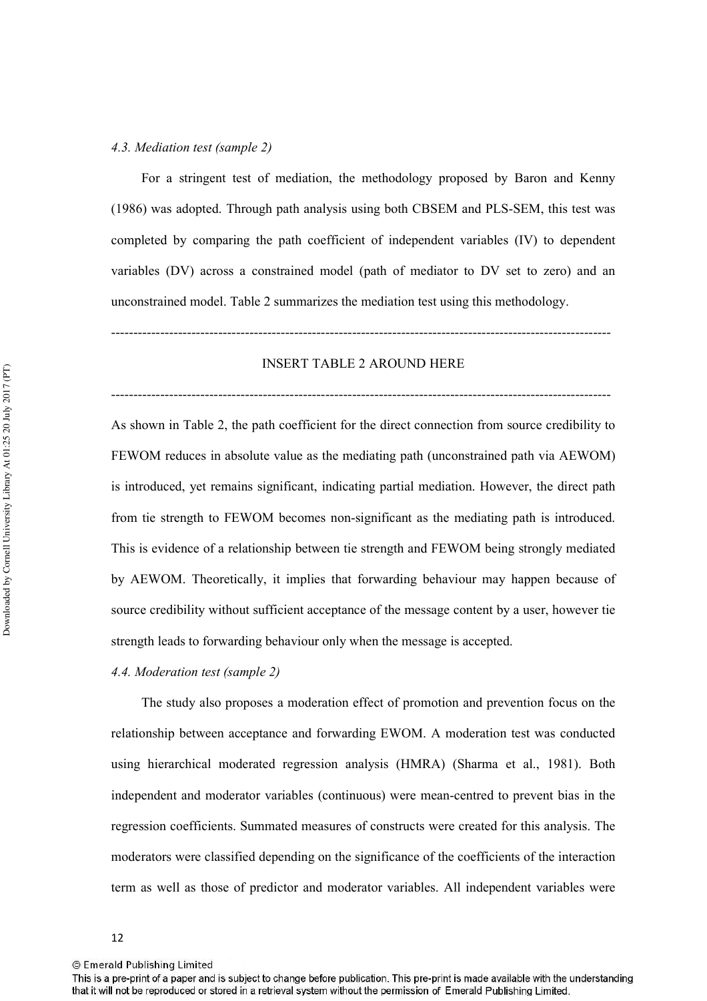## 4.3. Mediation test (sample 2)

 For a stringent test of mediation, the methodology proposed by Baron and Kenny (1986) was adopted. Through path analysis using both CBSEM and PLS'SEM, this test was completed by comparing the path coefficient of independent variables (IV) to dependent variables (DV) across a constrained model (path of mediator to DV set to zero) and an unconstrained model. Table 2 summarizes the mediation test using this methodology.

#### INSERT TABLE 2 AROUND HERE

''''''''''''''''''''''''''''''''''''''''''''''''''''''''''''''''''''''''''''''''''''''''''''''''''''''''''''''''

''''''''''''''''''''''''''''''''''''''''''''''''''''''''''''''''''''''''''''''''''''''''''''''''''''''''''''''''

As shown in Table 2, the path coefficient for the direct connection from source credibility to FEWOM reduces in absolute value as the mediating path (unconstrained path via AEWOM) is introduced, yet remains significant, indicating partial mediation. However, the direct path from tie strength to FEWOM becomes non'significant as the mediating path is introduced. This is evidence of a relationship between tie strength and FEWOM being strongly mediated by AEWOM. Theoretically, it implies that forwarding behaviour may happen because of source credibility without sufficient acceptance of the message content by a user, however tie strength leads to forwarding behaviour only when the message is accepted.

# 4.4. Moderation test (sample 2)

 The study also proposes a moderation effect of promotion and prevention focus on the relationship between acceptance and forwarding EWOM. A moderation test was conducted using hierarchical moderated regression analysis (HMRA) (Sharma et al., 1981). Both independent and moderator variables (continuous) were mean'centred to prevent bias in the regression coefficients. Summated measures of constructs were created for this analysis. The moderators were classified depending on the significance of the coefficients of the interaction term as well as those of predictor and moderator variables. All independent variables were

<sup>©</sup> Emerald Publishing Limited

This is a pre-print of a paper and is subject to change before publication. This pre-print is made available with the understanding that it will not be reproduced or stored in a retrieval system without the permission of Emerald Publishing Limited.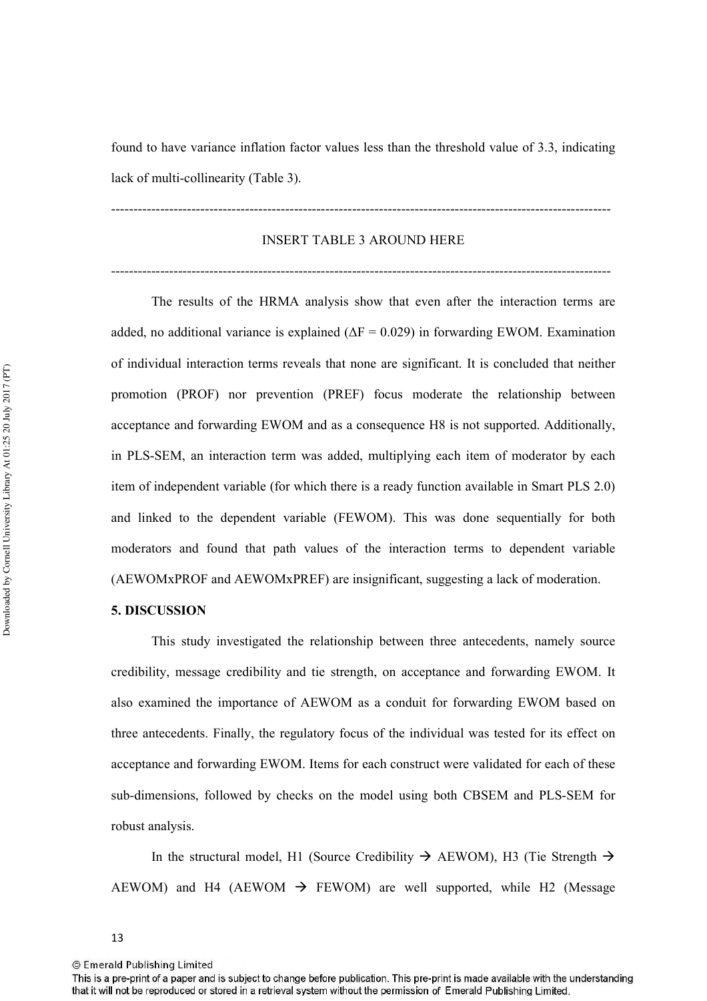found to have variance inflation factor values less than the threshold value of 3.3, indicating lack of multi-collinearity (Table 3).

#### INSERT TABLE 3 AROUND HERE

''''''''''''''''''''''''''''''''''''''''''''''''''''''''''''''''''''''''''''''''''''''''''''''''''''''''''''''''

''''''''''''''''''''''''''''''''''''''''''''''''''''''''''''''''''''''''''''''''''''''''''''''''''''''''''''''''

The results of the HRMA analysis show that even after the interaction terms are added, no additional variance is explained ( $\Delta F = 0.029$ ) in forwarding EWOM. Examination of individual interaction terms reveals that none are significant. It is concluded that neither promotion (PROF) nor prevention (PREF) focus moderate the relationship between acceptance and forwarding EWOM and as a consequence H8 is not supported. Additionally, in PLS-SEM, an interaction term was added, multiplying each item of moderator by each item of independent variable (for which there is a ready function available in Smart PLS 2.0) and linked to the dependent variable (FEWOM). This was done sequentially for both moderators and found that path values of the interaction terms to dependent variable (AEWOMxPROF and AEWOMxPREF) are insignificant, suggesting a lack of moderation.

# **5. DISCUSSION**

This study investigated the relationship between three antecedents, namely source credibility, message credibility and tie strength, on acceptance and forwarding EWOM. It also examined the importance of AEWOM as a conduit for forwarding EWOM based on three antecedents. Finally, the regulatory focus of the individual was tested for its effect on acceptance and forwarding EWOM. Items for each construct were validated for each of these sub'dimensions, followed by checks on the model using both CBSEM and PLS'SEM for robust analysis.

In the structural model, H1 (Source Credibility  $\rightarrow$  AEWOM), H3 (Tie Strength  $\rightarrow$ AEWOM) and H4 (AEWOM  $\rightarrow$  FEWOM) are well supported, while H2 (Message

This is a pre-print of a paper and is subject to change before publication. This pre-print is made available with the understanding that it will not be reproduced or stored in a retrieval system without the permission of Emerald Publishing Limited.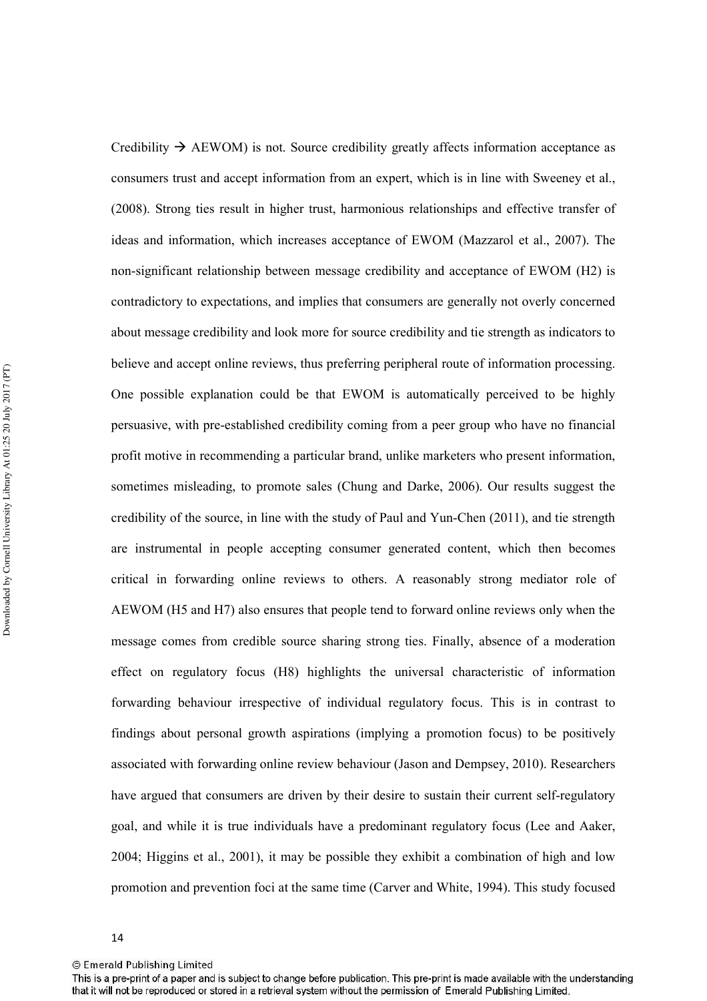Credibility  $\rightarrow$  AEWOM) is not. Source credibility greatly affects information acceptance as consumers trust and accept information from an expert, which is in line with Sweeney et al., (2008). Strong ties result in higher trust, harmonious relationships and effective transfer of ideas and information, which increases acceptance of EWOM (Mazzarol et al., 2007). The non-significant relationship between message credibility and acceptance of EWOM (H2) is contradictory to expectations, and implies that consumers are generally not overly concerned about message credibility and look more for source credibility and tie strength as indicators to believe and accept online reviews, thus preferring peripheral route of information processing. One possible explanation could be that EWOM is automatically perceived to be highly persuasive, with pre'established credibility coming from a peer group who have no financial profit motive in recommending a particular brand, unlike marketers who present information, sometimes misleading, to promote sales (Chung and Darke, 2006). Our results suggest the credibility of the source, in line with the study of Paul and Yun'Chen (2011), and tie strength are instrumental in people accepting consumer generated content, which then becomes critical in forwarding online reviews to others. A reasonably strong mediator role of AEWOM (H5 and H7) also ensures that people tend to forward online reviews only when the message comes from credible source sharing strong ties. Finally, absence of a moderation effect on regulatory focus (H8) highlights the universal characteristic of information forwarding behaviour irrespective of individual regulatory focus. This is in contrast to findings about personal growth aspirations (implying a promotion focus) to be positively associated with forwarding online review behaviour (Jason and Dempsey, 2010). Researchers have argued that consumers are driven by their desire to sustain their current self-regulatory goal, and while it is true individuals have a predominant regulatory focus (Lee and Aaker, 2004; Higgins et al., 2001), it may be possible they exhibit a combination of high and low promotion and prevention foci at the same time (Carver and White, 1994). This study focused

<sup>14</sup> 

<sup>©</sup> Emerald Publishing Limited

This is a pre-print of a paper and is subject to change before publication. This pre-print is made available with the understanding that it will not be reproduced or stored in a retrieval system without the permission of Emerald Publishing Limited.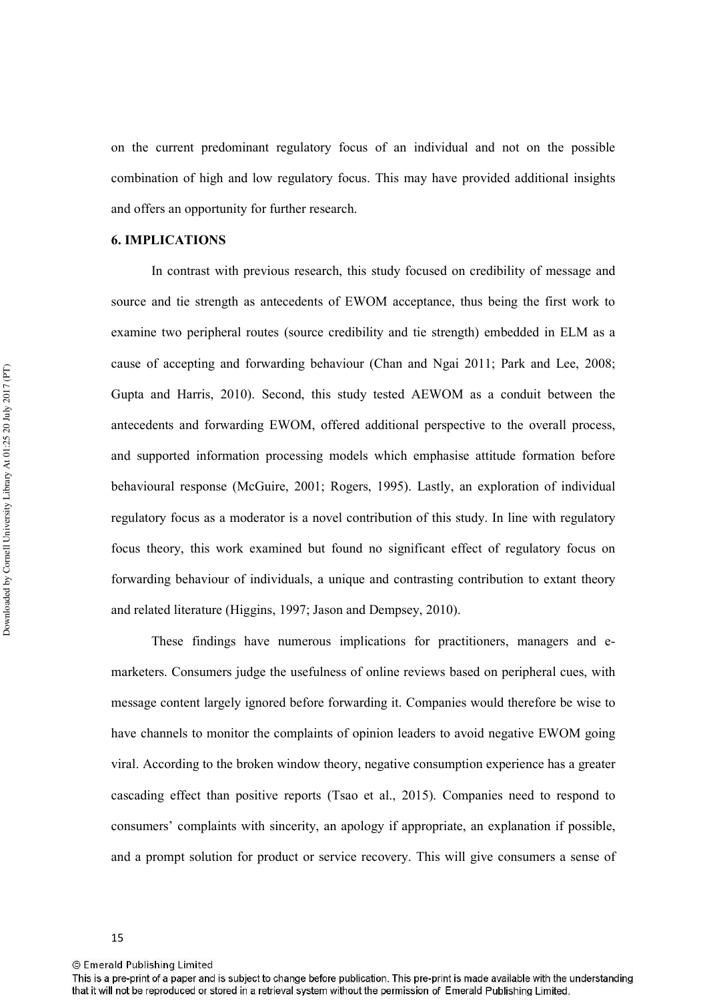on the current predominant regulatory focus of an individual and not on the possible combination of high and low regulatory focus. This may have provided additional insights and offers an opportunity for further research.

# **6. IMPLICATIONS**

In contrast with previous research, this study focused on credibility of message and source and tie strength as antecedents of EWOM acceptance, thus being the first work to examine two peripheral routes (source credibility and tie strength) embedded in ELM as a cause of accepting and forwarding behaviour (Chan and Ngai 2011; Park and Lee, 2008; Gupta and Harris, 2010). Second, this study tested AEWOM as a conduit between the antecedents and forwarding EWOM, offered additional perspective to the overall process, and supported information processing models which emphasise attitude formation before behavioural response (McGuire, 2001; Rogers, 1995). Lastly, an exploration of individual regulatory focus as a moderator is a novel contribution of this study. In line with regulatory focus theory, this work examined but found no significant effect of regulatory focus on forwarding behaviour of individuals, a unique and contrasting contribution to extant theory and related literature (Higgins, 1997; Jason and Dempsey, 2010).

These findings have numerous implications for practitioners, managers and emarketers. Consumers judge the usefulness of online reviews based on peripheral cues, with message content largely ignored before forwarding it. Companies would therefore be wise to have channels to monitor the complaints of opinion leaders to avoid negative EWOM going viral. According to the broken window theory, negative consumption experience has a greater cascading effect than positive reports (Tsao et al., 2015). Companies need to respond to consumers' complaints with sincerity, an apology if appropriate, an explanation if possible, and a prompt solution for product or service recovery. This will give consumers a sense of

<sup>©</sup> Emerald Publishing Limited

This is a pre-print of a paper and is subject to change before publication. This pre-print is made available with the understanding that it will not be reproduced or stored in a retrieval system without the permission of Emerald Publishing Limited.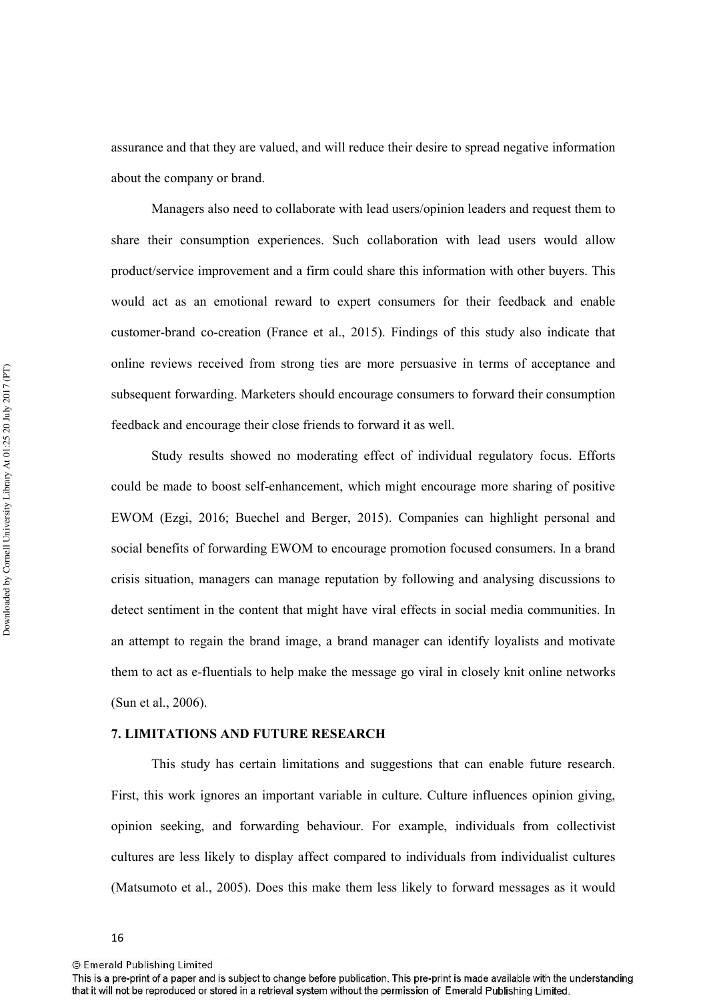assurance and that they are valued, and will reduce their desire to spread negative information about the company or brand.

Managers also need to collaborate with lead users/opinion leaders and request them to share their consumption experiences. Such collaboration with lead users would allow product/service improvement and a firm could share this information with other buyers. This would act as an emotional reward to expert consumers for their feedback and enable customer'brand co'creation (France et al., 2015). Findings of this study also indicate that online reviews received from strong ties are more persuasive in terms of acceptance and subsequent forwarding. Marketers should encourage consumers to forward their consumption feedback and encourage their close friends to forward it as well.

Study results showed no moderating effect of individual regulatory focus. Efforts could be made to boost self'enhancement, which might encourage more sharing of positive EWOM (Ezgi, 2016; Buechel and Berger, 2015). Companies can highlight personal and social benefits of forwarding EWOM to encourage promotion focused consumers. In a brand crisis situation, managers can manage reputation by following and analysing discussions to detect sentiment in the content that might have viral effects in social media communities. In an attempt to regain the brand image, a brand manager can identify loyalists and motivate them to act as e'fluentials to help make the message go viral in closely knit online networks (Sun et al., 2006).

# **7. LIMITATIONS AND FUTURE RESEARCH**

This study has certain limitations and suggestions that can enable future research. First, this work ignores an important variable in culture. Culture influences opinion giving, opinion seeking, and forwarding behaviour. For example, individuals from collectivist cultures are less likely to display affect compared to individuals from individualist cultures (Matsumoto et al., 2005). Does this make them less likely to forward messages as it would

<sup>©</sup> Emerald Publishing Limited

This is a pre-print of a paper and is subject to change before publication. This pre-print is made available with the understanding that it will not be reproduced or stored in a retrieval system without the permission of Emerald Publishing Limited.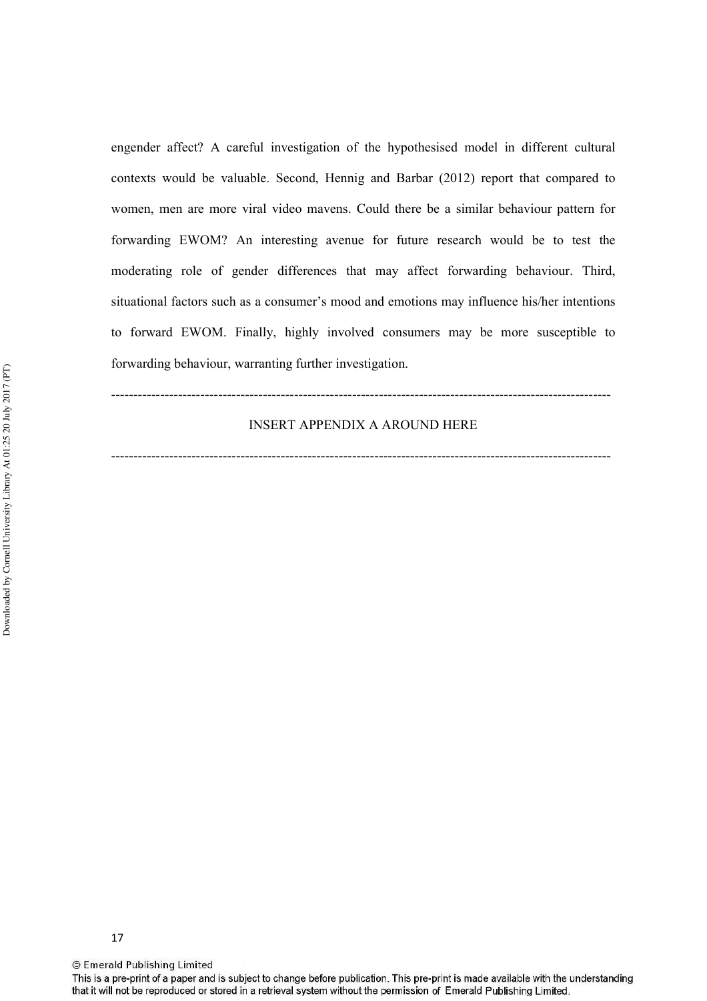engender affect? A careful investigation of the hypothesised model in different cultural contexts would be valuable. Second, Hennig and Barbar (2012) report that compared to women, men are more viral video mavens. Could there be a similar behaviour pattern for forwarding EWOM? An interesting avenue for future research would be to test the moderating role of gender differences that may affect forwarding behaviour. Third, situational factors such as a consumer's mood and emotions may influence his/her intentions to forward EWOM. Finally, highly involved consumers may be more susceptible to forwarding behaviour, warranting further investigation.

# INSERT APPENDIX A AROUND HERE

''''''''''''''''''''''''''''''''''''''''''''''''''''''''''''''''''''''''''''''''''''''''''''''''''''''''''''''''

''''''''''''''''''''''''''''''''''''''''''''''''''''''''''''''''''''''''''''''''''''''''''''''''''''''''''''''''

17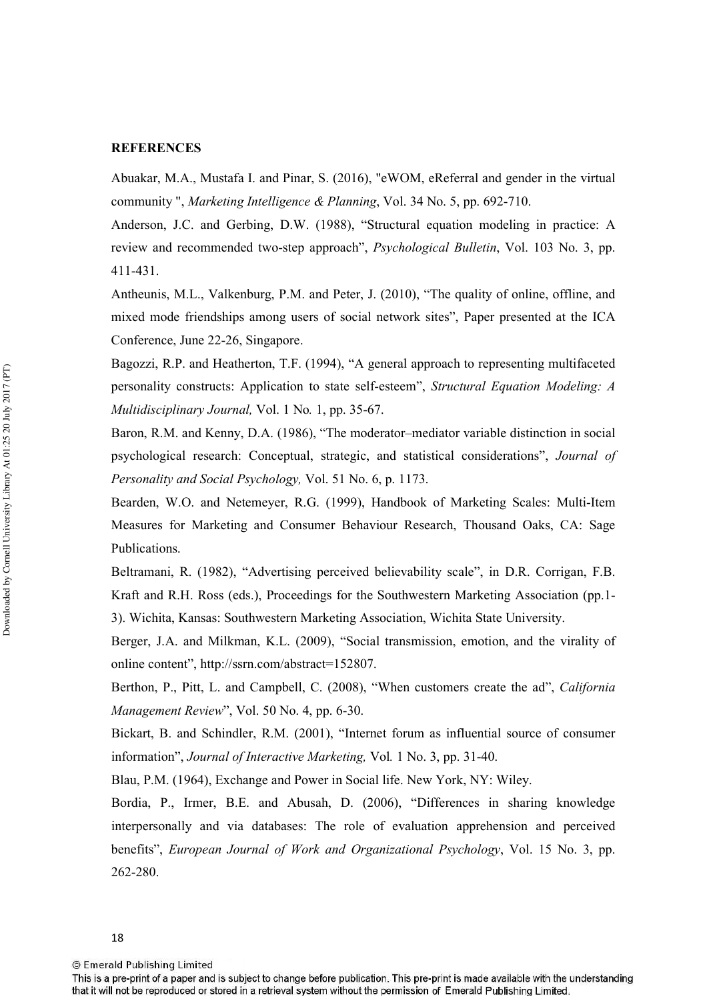#### **REFERENCES**

Abuakar, M.A., Mustafa I. and Pinar, S. (2016), "eWOM, eReferral and gender in the virtual community ", *Marketing Intelligence & Planning*, Vol. 34 No. 5, pp. 692-710.

Anderson, J.C. and Gerbing, D.W. (1988), "Structural equation modeling in practice: A review and recommended two-step approach", *Psychological Bulletin*, Vol. 103 No. 3, pp. 411-431.

Antheunis, M.L., Valkenburg, P.M. and Peter, J. (2010), "The quality of online, offline, and mixed mode friendships among users of social network sites", Paper presented at the ICA Conference, June 22-26, Singapore.

Bagozzi, R.P. and Heatherton, T.F. (1994), "A general approach to representing multifaceted personality constructs: Application to state self-esteem", *Structural Equation Modeling: A Multidisciplinary Journal, Vol. 1 No. 1, pp. 35-67.* 

Baron, R.M. and Kenny, D.A. (1986), "The moderator–mediator variable distinction in social psychological research: Conceptual, strategic, and statistical considerations", *Journal of* Personality and Social Psychology, Vol. 51 No. 6, p. 1173.

Bearden, W.O. and Netemeyer, R.G. (1999), Handbook of Marketing Scales: Multi-Item Measures for Marketing and Consumer Behaviour Research, Thousand Oaks, CA: Sage Publications.

Beltramani, R. (1982), "Advertising perceived believability scale", in D.R. Corrigan, F.B. Kraft and R.H. Ross (eds.), Proceedings for the Southwestern Marketing Association (pp.1' 3). Wichita, Kansas: Southwestern Marketing Association, Wichita State University.

Berger, J.A. and Milkman, K.L. (2009), "Social transmission, emotion, and the virality of online content", http://ssrn.com/abstract=152807.

Berthon, P., Pitt, L. and Campbell, C. (2008), "When customers create the ad", *California Management Review*", Vol. 50 No. 4, pp. 6-30.

Bickart, B. and Schindler, R.M. (2001), "Internet forum as influential source of consumer information", *Journal of Interactive Marketing*, Vol. 1 No. 3, pp. 31-40.

Blau, P.M. (1964), Exchange and Power in Social life. New York, NY: Wiley.

Bordia, P., Irmer, B.E. and Abusah, D. (2006), "Differences in sharing knowledge interpersonally and via databases: The role of evaluation apprehension and perceived benefits", *European Journal of Work and Organizational Psychology*, Vol. 15 No. 3, pp. 262-280.

This is a pre-print of a paper and is subject to change before publication. This pre-print is made available with the understanding that it will not be reproduced or stored in a retrieval system without the permission of Emerald Publishing Limited.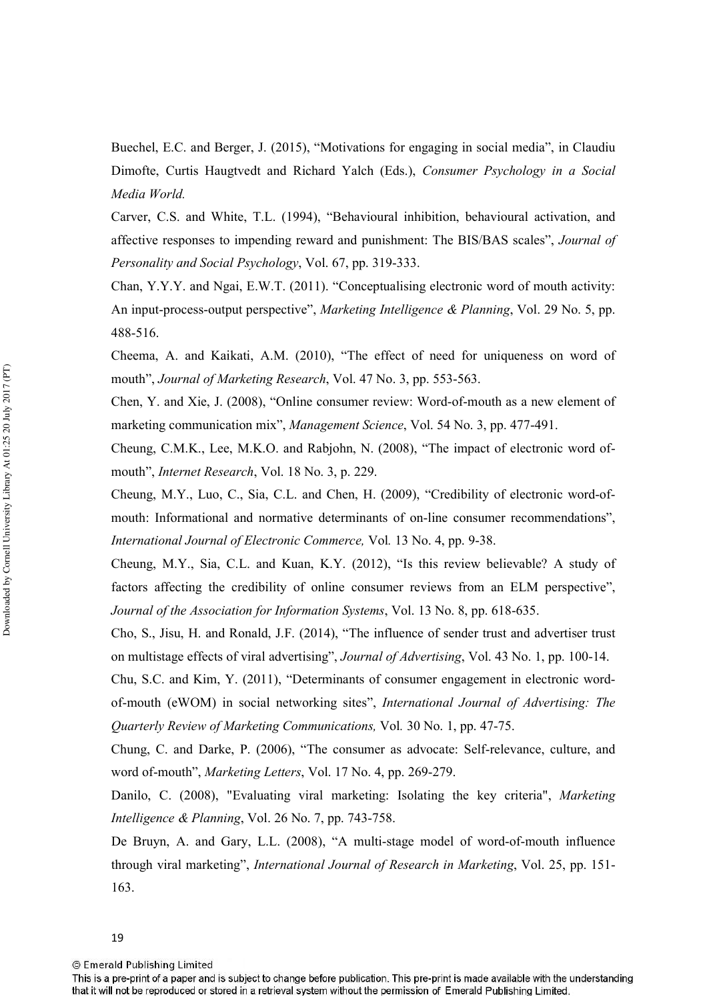Buechel, E.C. and Berger, J. (2015), "Motivations for engaging in social media", in Claudiu Dimofte, Curtis Haugtvedt and Richard Yalch (Eds.), *Consumer Psychology in a Social -*

Carver, C.S. and White, T.L. (1994), "Behavioural inhibition, behavioural activation, and affective responses to impending reward and punishment: The BIS/BAS scales", *Journal of Personality and Social Psychology*, Vol. 67, pp. 319-333.

Chan, Y.Y.Y. and Ngai, E.W.T. (2011). "Conceptualising electronic word of mouth activity: An input-process-output perspective", *Marketing Intelligence & Planning*, Vol. 29 No. 5, pp. 488-516.

Cheema, A. and Kaikati, A.M. (2010), "The effect of need for uniqueness on word of mouth", *Journal of Marketing Research*, Vol. 47 No. 3, pp. 553-563.

Chen, Y. and Xie, J. (2008), "Online consumer review: Word-of-mouth as a new element of marketing communication mix", *Management Science*, Vol. 54 No. 3, pp. 477-491.

Cheung, C.M.K., Lee, M.K.O. and Rabjohn, N. (2008), "The impact of electronic word of' mouth", *Internet Research*, Vol. 18 No. 3, p. 229.

Cheung, M.Y., Luo, C., Sia, C.L. and Chen, H. (2009), "Credibility of electronic word'of' mouth: Informational and normative determinants of on-line consumer recommendations", *International Journal of Electronic Commerce, Vol. 13 No. 4, pp. 9-38.* 

Cheung, M.Y., Sia, C.L. and Kuan, K.Y. (2012), "Is this review believable? A study of factors affecting the credibility of online consumer reviews from an ELM perspective", *Journal of the Association for Information Systems, Vol. 13 No. 8, pp. 618-635.* 

Cho, S., Jisu, H. and Ronald, J.F. (2014), "The influence of sender trust and advertiser trust on multistage effects of viral advertising", *Journal of Advertising*, Vol. 43 No. 1, pp. 100-14.

Chu, S.C. and Kim, Y. (2011), "Determinants of consumer engagement in electronic word' of-mouth (eWOM) in social networking sites", *International Journal of Advertising: The Quarterly Review of Marketing Communications, Vol. 30 No. 1, pp. 47-75.* 

Chung, C. and Darke, P. (2006), "The consumer as advocate: Self-relevance, culture, and word of-mouth", *Marketing Letters*, Vol. 17 No. 4, pp. 269-279.

Danilo, C. (2008), "Evaluating viral marketing: Isolating the key criteria", *Marketing Intelligence & Planning, Vol. 26 No. 7, pp. 743-758.* 

De Bruyn, A. and Gary, L.L. (2008), "A multi-stage model of word-of-mouth influence through viral marketing", *International Journal of Research in Marketing*, Vol. 25, pp. 151-163.

This is a pre-print of a paper and is subject to change before publication. This pre-print is made available with the understanding that it will not be reproduced or stored in a retrieval system without the permission of Emerald Publishing Limited.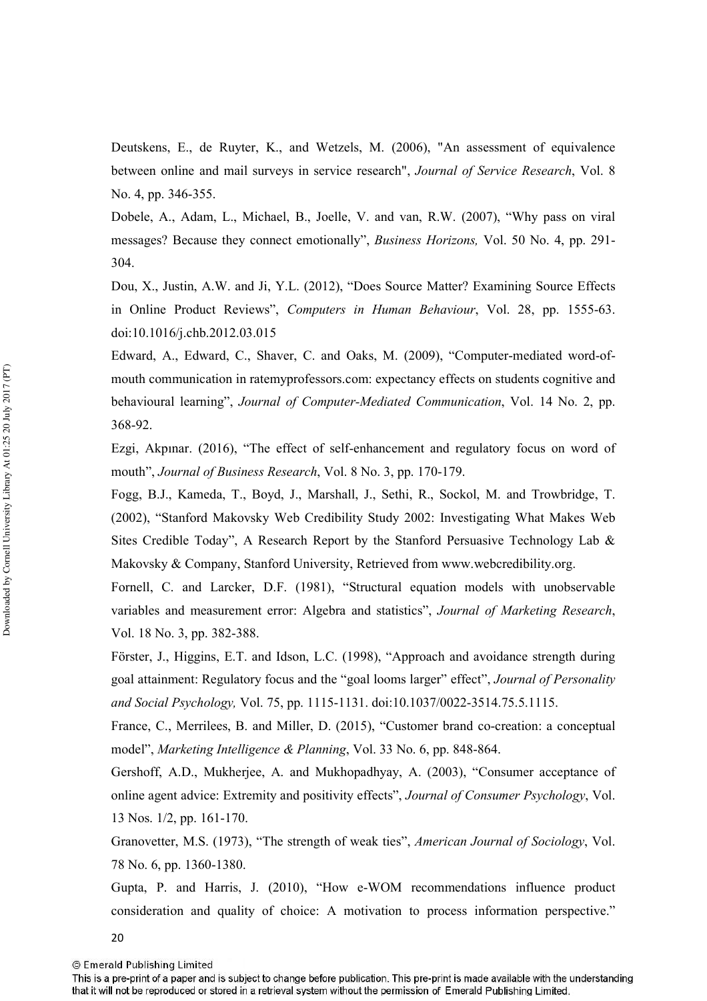Deutskens, E., de Ruyter, K., and Wetzels, M. (2006), "An assessment of equivalence between online and mail surveys in service research", *Journal of Service Research*, Vol. 8 No. 4, pp. 346-355.

Dobele, A., Adam, L., Michael, B., Joelle, V. and van, R.W. (2007), "Why pass on viral messages? Because they connect emotionally", *Business Horizons*, Vol. 50 No. 4, pp. 291-304.

Dou, X., Justin, A.W. and Ji, Y.L. (2012), "Does Source Matter? Examining Source Effects in Online Product Reviews", *Computers in Human Behaviour*, Vol. 28, pp. 1555-63. doi:10.1016/j.chb.2012.03.015

Edward, A., Edward, C., Shaver, C. and Oaks, M. (2009), "Computer-mediated word-ofmouth communication in ratemyprofessors.com: expectancy effects on students cognitive and behavioural learning", *Journal of Computer-Mediated Communication*, Vol. 14 No. 2, pp. 368-92.

Ezgi, Akpınar. (2016), "The effect of self-enhancement and regulatory focus on word of mouth", *Journal of Business Research*, Vol. 8 No. 3, pp. 170-179.

Fogg, B.J., Kameda, T., Boyd, J., Marshall, J., Sethi, R., Sockol, M. and Trowbridge, T. (2002), "Stanford Makovsky Web Credibility Study 2002: Investigating What Makes Web Sites Credible Today", A Research Report by the Stanford Persuasive Technology Lab & Makovsky & Company, Stanford University, Retrieved from www.webcredibility.org.

Fornell, C. and Larcker, D.F. (1981), "Structural equation models with unobservable variables and measurement error: Algebra and statistics", *Journal of Marketing Research*, Vol. 18 No. 3, pp. 382-388.

Förster, J., Higgins, E.T. and Idson, L.C. (1998), "Approach and avoidance strength during goal attainment: Regulatory focus and the "goal looms larger" effect", *Journal of Personality* and Social Psychology, Vol. 75, pp. 1115-1131. doi:10.1037/0022-3514.75.5.1115.

France, C., Merrilees, B. and Miller, D. (2015), "Customer brand co-creation: a conceptual model", *Marketing Intelligence & Planning*, Vol. 33 No. 6, pp. 848-864.

Gershoff, A.D., Mukherjee, A. and Mukhopadhyay, A. (2003), "Consumer acceptance of online agent advice: Extremity and positivity effects", *Journal of Consumer Psychology*, Vol. 13 Nos. 1/2, pp. 161-170.

Granovetter, M.S. (1973), "The strength of weak ties", *American Journal of Sociology*, Vol. 78 No. 6, pp. 1360-1380.

Gupta, P. and Harris, J. (2010), "How e-WOM recommendations influence product consideration and quality of choice: A motivation to process information perspective."

20

This is a pre-print of a paper and is subject to change before publication. This pre-print is made available with the understanding that it will not be reproduced or stored in a retrieval system without the permission of Emerald Publishing Limited.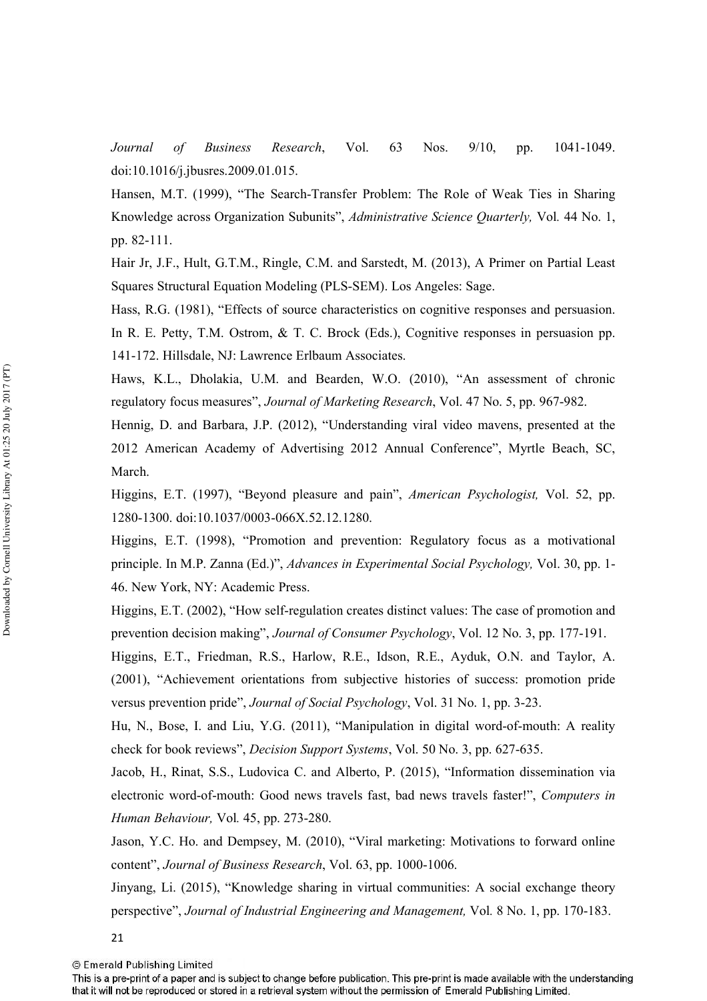*Journal of Business Research*, Vol. 63 Nos. 9/10, pp. 1041-1049. doi:10.1016/j.jbusres.2009.01.015.

Hansen, M.T. (1999), "The Search-Transfer Problem: The Role of Weak Ties in Sharing Knowledge across Organization Subunits", *Administrative Science Quarterly*, Vol. 44 No. 1, pp. 82-111.

Hair Jr, J.F., Hult, G.T.M., Ringle, C.M. and Sarstedt, M. (2013), A Primer on Partial Least Squares Structural Equation Modeling (PLS-SEM). Los Angeles: Sage.

Hass, R.G. (1981), "Effects of source characteristics on cognitive responses and persuasion. In R. E. Petty, T.M. Ostrom, & T. C. Brock (Eds.), Cognitive responses in persuasion pp. 141-172. Hillsdale, NJ: Lawrence Erlbaum Associates.

Haws, K.L., Dholakia, U.M. and Bearden, W.O. (2010), "An assessment of chronic regulatory focus measures", *Journal of Marketing Research*, Vol. 47 No. 5, pp. 967-982.

Hennig, D. and Barbara, J.P. (2012), "Understanding viral video mavens, presented at the 2012 American Academy of Advertising 2012 Annual Conference", Myrtle Beach, SC, March.

Higgins, E.T. (1997), "Beyond pleasure and pain", *American Psychologist*, Vol. 52, pp. 1280-1300. doi:10.1037/0003-066X.52.12.1280.

Higgins, E.T. (1998), "Promotion and prevention: Regulatory focus as a motivational principle. In M.P. Zanna (Ed.)", *Advances in Experimental Social Psychology*, Vol. 30, pp. 1-46. New York, NY: Academic Press.

Higgins, E.T. (2002), "How self-regulation creates distinct values: The case of promotion and prevention decision making", *Journal of Consumer Psychology*, Vol. 12 No. 3, pp. 177-191.

Higgins, E.T., Friedman, R.S., Harlow, R.E., Idson, R.E., Ayduk, O.N. and Taylor, A. (2001), "Achievement orientations from subjective histories of success: promotion pride versus prevention pride", *Journal of Social Psychology*, Vol. 31 No. 1, pp. 3-23.

Hu, N., Bose, I. and Liu, Y.G. (2011), "Manipulation in digital word-of-mouth: A reality check for book reviews", *Decision Support Systems*, Vol. 50 No. 3, pp. 627-635.

Jacob, H., Rinat, S.S., Ludovica C. and Alberto, P. (2015), "Information dissemination via electronic word-of-mouth: Good news travels fast, bad news travels faster!", *Computers in Human Behaviour*, Vol. 45, pp. 273-280.

Jason, Y.C. Ho. and Dempsey, M. (2010), "Viral marketing: Motivations to forward online content", *Journal of Business Research*, Vol. 63, pp. 1000-1006.

Jinyang, Li. (2015), "Knowledge sharing in virtual communities: A social exchange theory perspective", Journal of Industrial Engineering and Management, Vol. 8 No. 1, pp. 170-183.

21

This is a pre-print of a paper and is subject to change before publication. This pre-print is made available with the understanding that it will not be reproduced or stored in a retrieval system without the permission of Emerald Publishing Limited.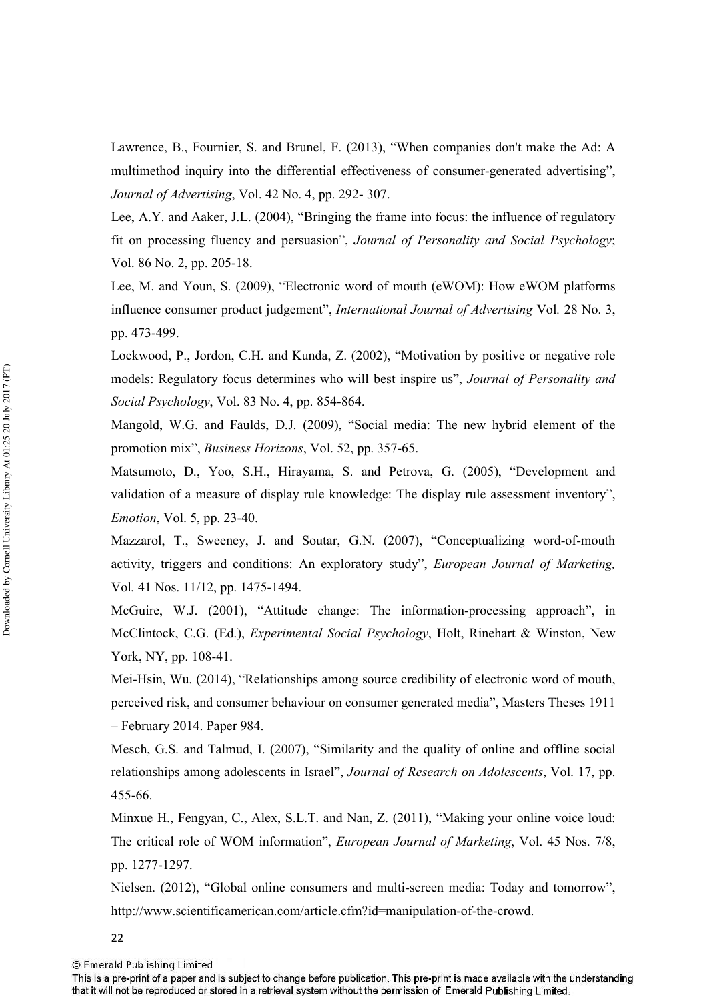Lawrence, B., Fournier, S. and Brunel, F. (2013), "When companies don't make the Ad: A multimethod inquiry into the differential effectiveness of consumer-generated advertising", *Journal of Advertising*, Vol. 42 No. 4, pp. 292-307.

Lee, A.Y. and Aaker, J.L. (2004), "Bringing the frame into focus: the influence of regulatory fit on processing fluency and persuasion", Journal of Personality and Social Psychology; Vol. 86 No. 2, pp. 205-18.

Lee, M. and Youn, S. (2009), "Electronic word of mouth (eWOM): How eWOM platforms influence consumer product judgement", *International Journal of Advertising* Vol. 28 No. 3, pp. 473-499.

Lockwood, P., Jordon, C.H. and Kunda, Z. (2002), "Motivation by positive or negative role models: Regulatory focus determines who will best inspire us", Journal of Personality and *Social Psychology*, Vol. 83 No. 4, pp. 854-864.

Mangold, W.G. and Faulds, D.J. (2009), "Social media: The new hybrid element of the promotion mix", *Business Horizons*, Vol. 52, pp. 357-65.

Matsumoto, D., Yoo, S.H., Hirayama, S. and Petrova, G. (2005), "Development and validation of a measure of display rule knowledge: The display rule assessment inventory", *Emotion*, Vol. 5, pp. 23-40.

Mazzarol, T., Sweeney, J. and Soutar, G.N. (2007), "Conceptualizing word-of-mouth activity, triggers and conditions: An exploratory study", *European Journal of Marketing*, Vol. 41 Nos. 11/12, pp. 1475-1494.

McGuire, W.J. (2001), "Attitude change: The information-processing approach", in McClintock, C.G. (Ed.), *Experimental Social Psychology*, Holt, Rinehart & Winston, New York, NY, pp. 108-41.

Mei-Hsin, Wu. (2014), "Relationships among source credibility of electronic word of mouth, perceived risk, and consumer behaviour on consumer generated media", Masters Theses 1911 – February 2014. Paper 984.

Mesch, G.S. and Talmud, I. (2007), "Similarity and the quality of online and offline social relationships among adolescents in Israel", *Journal of Research on Adolescents*, Vol. 17, pp. 455-66.

Minxue H., Fengyan, C., Alex, S.L.T. and Nan, Z. (2011), "Making your online voice loud: The critical role of WOM information", *European Journal of Marketing*, Vol. 45 Nos. 7/8, pp. 1277-1297.

Nielsen. (2012), "Global online consumers and multi-screen media: Today and tomorrow", http://www.scientificamerican.com/article.cfm?id=manipulation-of-the-crowd.

22

© Emerald Publishing Limited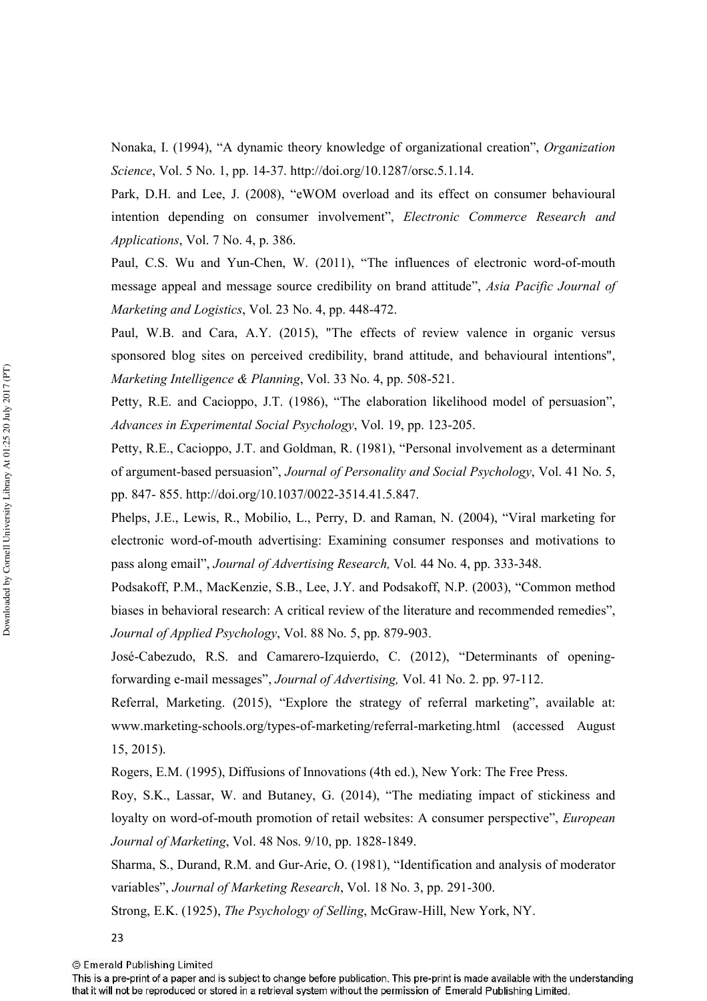Nonaka, I. (1994), "A dynamic theory knowledge of organizational creation", *Organization Science*, Vol. 5 No. 1, pp. 14-37. http://doi.org/10.1287/orsc.5.1.14.

Park, D.H. and Lee, J. (2008), "eWOM overload and its effect on consumer behavioural intention depending on consumer involvement", *Electronic Commerce Research and Applications, Vol. 7 No. 4, p. 386.* 

Paul, C.S. Wu and Yun-Chen, W. (2011), "The influences of electronic word-of-mouth message appeal and message source credibility on brand attitude", *Asia Pacific Journal of Marketing and Logistics, Vol. 23 No. 4, pp. 448-472.* 

Paul, W.B. and Cara, A.Y. (2015), "The effects of review valence in organic versus sponsored blog sites on perceived credibility, brand attitude, and behavioural intentions", *Marketing Intelligence & Planning, Vol. 33 No. 4, pp. 508-521.* 

Petty, R.E. and Cacioppo, J.T. (1986), "The elaboration likelihood model of persuasion", Advances in Experimental Social Psychology, Vol. 19, pp. 123-205.

Petty, R.E., Cacioppo, J.T. and Goldman, R. (1981), "Personal involvement as a determinant of argument-based persuasion", *Journal of Personality and Social Psychology*, Vol. 41 No. 5, pp. 847-855. http://doi.org/10.1037/0022-3514.41.5.847.

Phelps, J.E., Lewis, R., Mobilio, L., Perry, D. and Raman, N. (2004), "Viral marketing for electronic word'of'mouth advertising: Examining consumer responses and motivations to pass along email", *Journal of Advertising Research*, Vol. 44 No. 4, pp. 333-348.

Podsakoff, P.M., MacKenzie, S.B., Lee, J.Y. and Podsakoff, N.P. (2003), "Common method biases in behavioral research: A critical review of the literature and recommended remedies", Journal of Applied Psychology, Vol. 88 No. 5, pp. 879-903.

José-Cabezudo, R.S. and Camarero-Izquierdo, C. (2012), "Determinants of openingforwarding e-mail messages", *Journal of Advertising*, Vol. 41 No. 2. pp. 97-112.

Referral, Marketing. (2015), "Explore the strategy of referral marketing", available at: www.marketing-schools.org/types-of-marketing/referral-marketing.html (accessed August 15, 2015).

Rogers, E.M. (1995), Diffusions of Innovations (4th ed.), New York: The Free Press.

Roy, S.K., Lassar, W. and Butaney, G. (2014), "The mediating impact of stickiness and loyalty on word-of-mouth promotion of retail websites: A consumer perspective", *European* Journal of Marketing, Vol. 48 Nos. 9/10, pp. 1828-1849.

Sharma, S., Durand, R.M. and Gur-Arie, O. (1981), "Identification and analysis of moderator variables", *Journal of Marketing Research*, Vol. 18 No. 3, pp. 291-300.

Strong, E.K. (1925), *The Psychology of Selling*, McGraw-Hill, New York, NY.

23

This is a pre-print of a paper and is subject to change before publication. This pre-print is made available with the understanding that it will not be reproduced or stored in a retrieval system without the permission of Emerald Publishing Limited.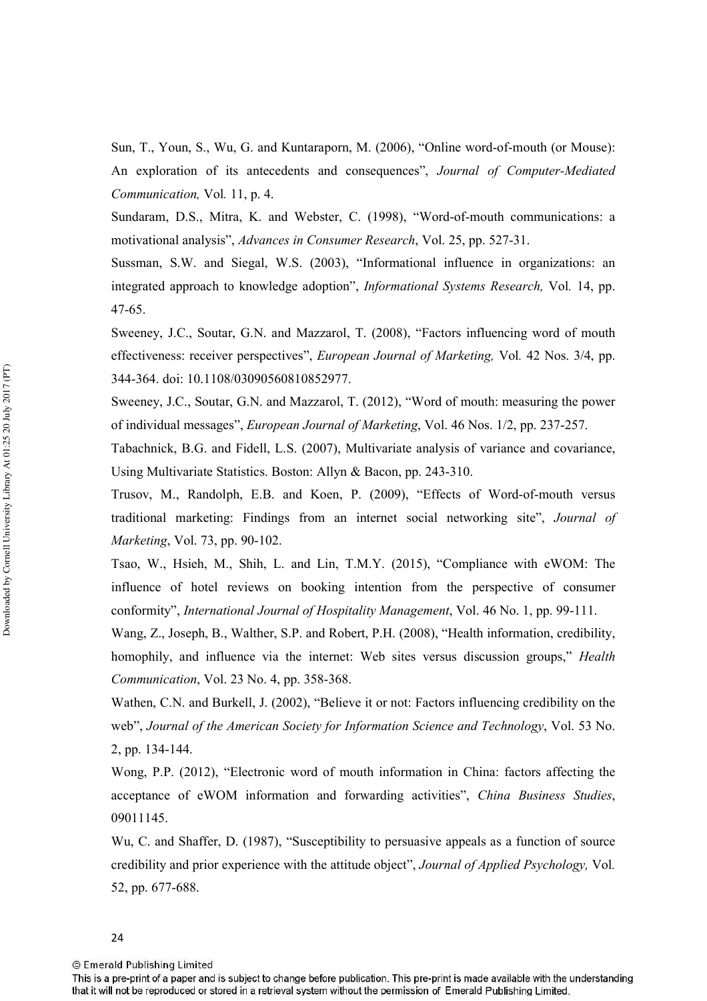Sun, T., Youn, S., Wu, G. and Kuntaraporn, M. (2006), "Online word-of-mouth (or Mouse): An exploration of its antecedents and consequences", Journal of Computer-Mediated *Communication*, Vol. 11, p. 4.

Sundaram, D.S., Mitra, K. and Webster, C. (1998), "Word-of-mouth communications: a motivational analysis", *Advances in Consumer Research*, Vol. 25, pp. 527-31.

Sussman, S.W. and Siegal, W.S. (2003), "Informational influence in organizations: an integrated approach to knowledge adoption", *Informational Systems Research*, Vol. 14, pp. 47-65.

Sweeney, J.C., Soutar, G.N. and Mazzarol, T. (2008), "Factors influencing word of mouth effectiveness: receiver perspectives", *European Journal of Marketing*, Vol. 42 Nos. 3/4, pp. 344-364. doi: 10.1108/03090560810852977.

Sweeney, J.C., Soutar, G.N. and Mazzarol, T. (2012), "Word of mouth: measuring the power of individual messages", *European Journal of Marketing*, Vol. 46 Nos. 1/2, pp. 237-257.

Tabachnick, B.G. and Fidell, L.S. (2007), Multivariate analysis of variance and covariance, Using Multivariate Statistics. Boston: Allyn & Bacon, pp. 243-310.

Trusov, M., Randolph, E.B. and Koen, P. (2009), "Effects of Word-of-mouth versus traditional marketing: Findings from an internet social networking site", *Journal of Marketing, Vol. 73, pp. 90-102.* 

Tsao, W., Hsieh, M., Shih, L. and Lin, T.M.Y. (2015), "Compliance with eWOM: The influence of hotel reviews on booking intention from the perspective of consumer conformity", *International Journal of Hospitality Management*, Vol. 46 No. 1, pp. 99-111.

Wang, Z., Joseph, B., Walther, S.P. and Robert, P.H. (2008), "Health information, credibility, homophily, and influence via the internet: Web sites versus discussion groups," *Health Communication, Vol. 23 No. 4, pp. 358-368.* 

Wathen, C.N. and Burkell, J. (2002), "Believe it or not: Factors influencing credibility on the web", Journal of the American Society for Information Science and Technology, Vol. 53 No. 2, pp. 134-144.

Wong, P.P. (2012), "Electronic word of mouth information in China: factors affecting the acceptance of eWOM information and forwarding activities", *China Business Studies*, 09011145.

Wu, C. and Shaffer, D. (1987), "Susceptibility to persuasive appeals as a function of source credibility and prior experience with the attitude object", Journal of Applied Psychology, Vol. 52, pp. 677-688.

This is a pre-print of a paper and is subject to change before publication. This pre-print is made available with the understanding that it will not be reproduced or stored in a retrieval system without the permission of Emerald Publishing Limited.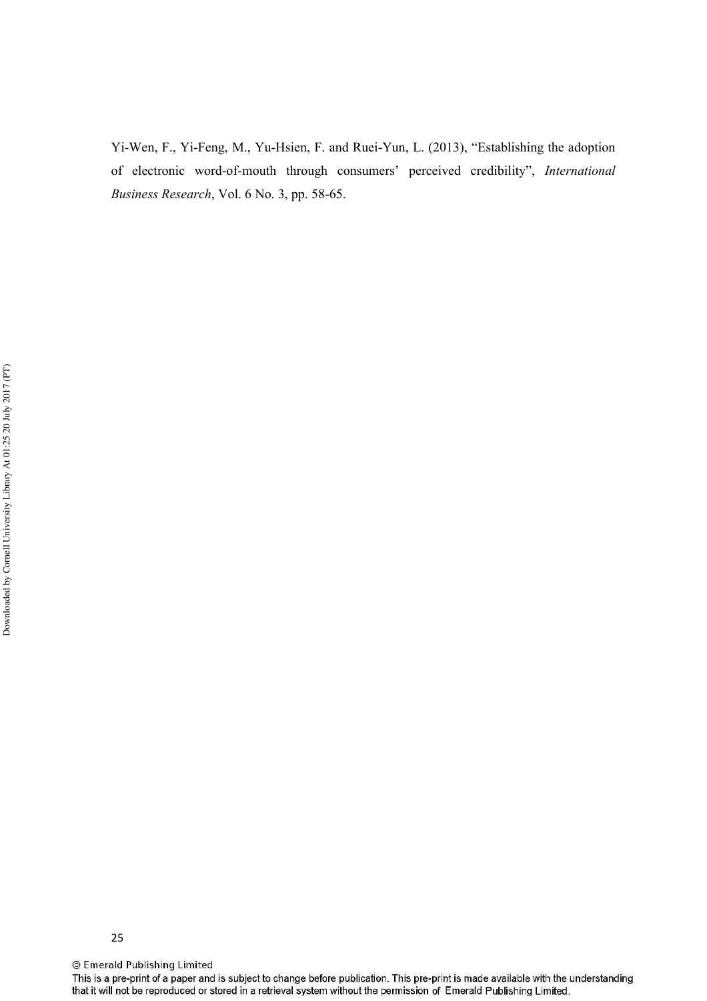Yi-Wen, F., Yi-Feng, M., Yu-Hsien, F. and Ruei-Yun, L. (2013), "Establishing the adoption of electronic word-of-mouth through consumers' perceived credibility", *International Business Research*, Vol. 6 No. 3, pp. 58-65.

© Emerald Publishing Limited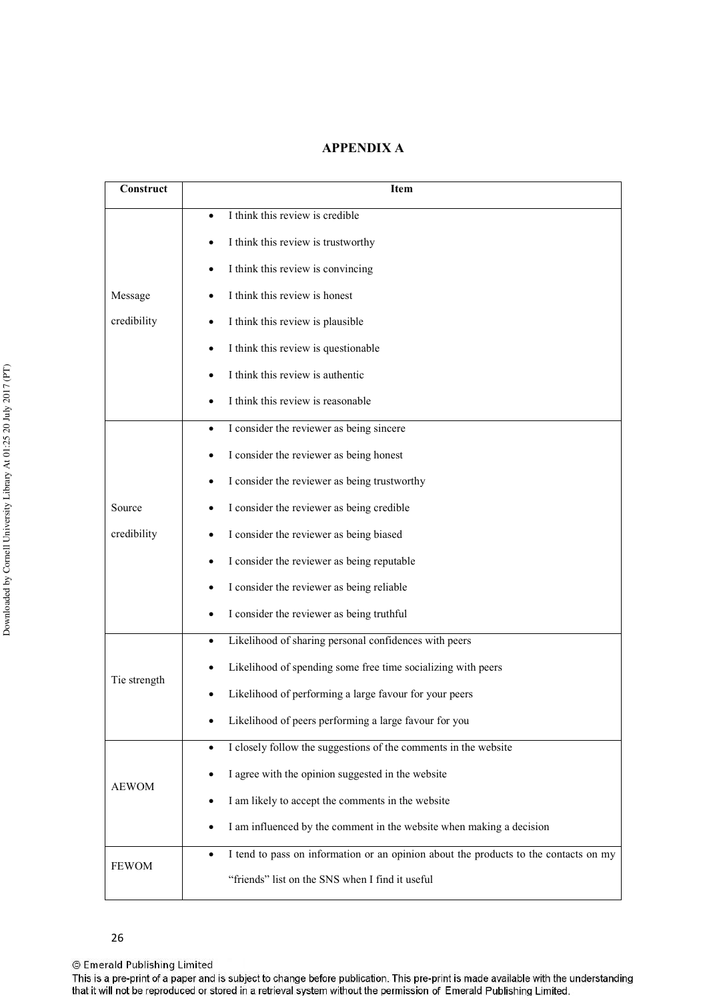# **APPENDIX A**

| Construct    | <b>Item</b>                                                                                       |  |  |  |  |  |  |  |  |
|--------------|---------------------------------------------------------------------------------------------------|--|--|--|--|--|--|--|--|
|              | I think this review is credible                                                                   |  |  |  |  |  |  |  |  |
|              | I think this review is trustworthy<br>٠                                                           |  |  |  |  |  |  |  |  |
|              | I think this review is convincing<br>٠                                                            |  |  |  |  |  |  |  |  |
| Message      | I think this review is honest                                                                     |  |  |  |  |  |  |  |  |
| credibility  | I think this review is plausible                                                                  |  |  |  |  |  |  |  |  |
|              | I think this review is questionable                                                               |  |  |  |  |  |  |  |  |
|              | I think this review is authentic                                                                  |  |  |  |  |  |  |  |  |
|              | I think this review is reasonable                                                                 |  |  |  |  |  |  |  |  |
|              | I consider the reviewer as being sincere<br>٠                                                     |  |  |  |  |  |  |  |  |
|              | I consider the reviewer as being honest<br>٠                                                      |  |  |  |  |  |  |  |  |
|              | I consider the reviewer as being trustworthy<br>٠                                                 |  |  |  |  |  |  |  |  |
| Source       | I consider the reviewer as being credible                                                         |  |  |  |  |  |  |  |  |
| credibility  | I consider the reviewer as being biased                                                           |  |  |  |  |  |  |  |  |
|              | I consider the reviewer as being reputable<br>٠                                                   |  |  |  |  |  |  |  |  |
|              | I consider the reviewer as being reliable<br>٠                                                    |  |  |  |  |  |  |  |  |
|              | I consider the reviewer as being truthful                                                         |  |  |  |  |  |  |  |  |
|              | Likelihood of sharing personal confidences with peers<br>٠                                        |  |  |  |  |  |  |  |  |
| Tie strength | Likelihood of spending some free time socializing with peers<br>٠                                 |  |  |  |  |  |  |  |  |
|              | Likelihood of performing a large favour for your peers                                            |  |  |  |  |  |  |  |  |
|              | Likelihood of peers performing a large favour for you                                             |  |  |  |  |  |  |  |  |
|              | I closely follow the suggestions of the comments in the website<br>$\bullet$                      |  |  |  |  |  |  |  |  |
| <b>AEWOM</b> | I agree with the opinion suggested in the website                                                 |  |  |  |  |  |  |  |  |
|              | I am likely to accept the comments in the website                                                 |  |  |  |  |  |  |  |  |
|              | I am influenced by the comment in the website when making a decision<br>٠                         |  |  |  |  |  |  |  |  |
| <b>FEWOM</b> | I tend to pass on information or an opinion about the products to the contacts on my<br>$\bullet$ |  |  |  |  |  |  |  |  |
|              | "friends" list on the SNS when I find it useful                                                   |  |  |  |  |  |  |  |  |

© Emerald Publishing Limited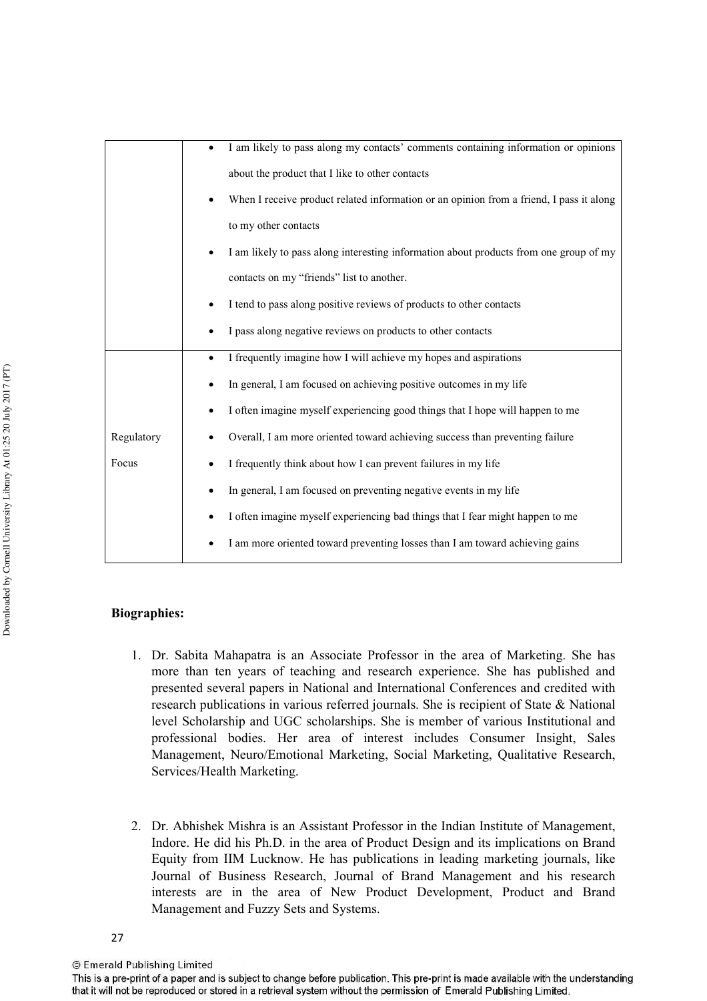|            | I am likely to pass along my contacts' comments containing information or opinions      |
|------------|-----------------------------------------------------------------------------------------|
|            | about the product that I like to other contacts                                         |
|            | When I receive product related information or an opinion from a friend, I pass it along |
|            | to my other contacts                                                                    |
|            | I am likely to pass along interesting information about products from one group of my   |
|            | contacts on my "friends" list to another.                                               |
|            | I tend to pass along positive reviews of products to other contacts                     |
|            | I pass along negative reviews on products to other contacts                             |
|            | I frequently imagine how I will achieve my hopes and aspirations<br>٠                   |
|            | In general, I am focused on achieving positive outcomes in my life                      |
|            | I often imagine myself experiencing good things that I hope will happen to me           |
| Regulatory | Overall, I am more oriented toward achieving success than preventing failure            |
| Focus      | I frequently think about how I can prevent failures in my life                          |
|            | In general, I am focused on preventing negative events in my life                       |
|            | I often imagine myself experiencing bad things that I fear might happen to me           |
|            | I am more oriented toward preventing losses than I am toward achieving gains            |

# **Biographies:**

- 1. Dr. Sabita Mahapatra is an Associate Professor in the area of Marketing. She has more than ten years of teaching and research experience. She has published and presented several papers in National and International Conferences and credited with research publications in various referred journals. She is recipient of State & National level Scholarship and UGC scholarships. She is member of various Institutional and professional bodies. Her area of interest includes Consumer Insight, Sales Management, Neuro/Emotional Marketing, Social Marketing, Qualitative Research, Services/Health Marketing.
- 2. Dr. Abhishek Mishra is an Assistant Professor in the Indian Institute of Management, Indore. He did his Ph.D. in the area of Product Design and its implications on Brand Equity from IIM Lucknow. He has publications in leading marketing journals, like Journal of Business Research, Journal of Brand Management and his research interests are in the area of New Product Development, Product and Brand Management and Fuzzy Sets and Systems.

This is a pre-print of a paper and is subject to change before publication. This pre-print is made available with the understanding that it will not be reproduced or stored in a retrieval system without the permission of Emerald Publishing Limited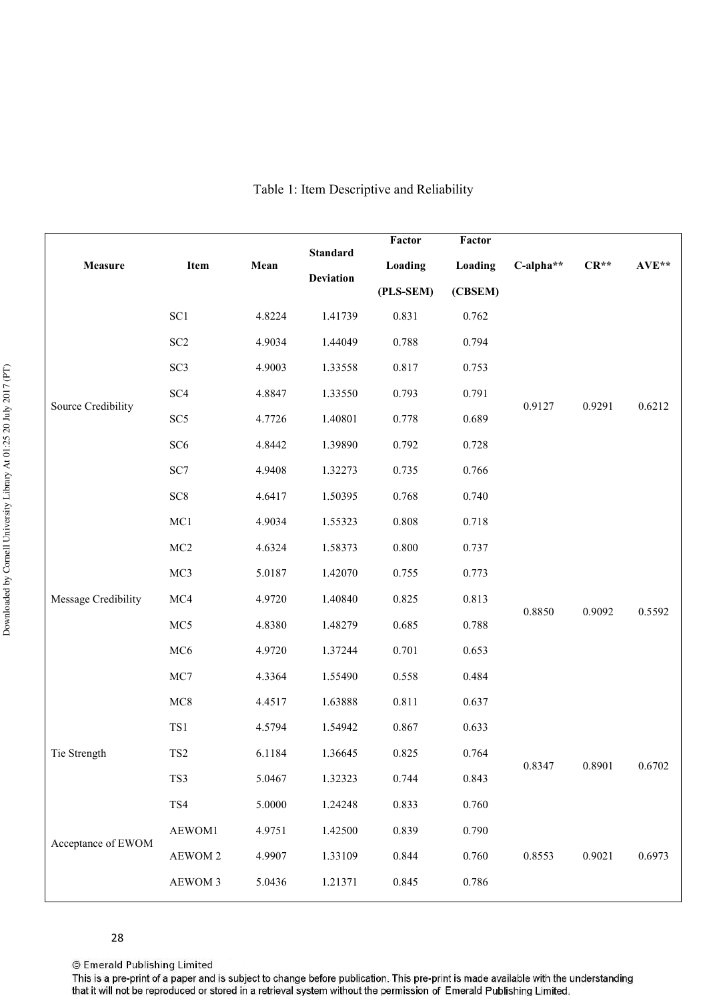| Measure             | Item            | Mean   | <b>Standard</b>  | Factor<br>Loading | Factor<br>Loading | C-alpha** | $CR**$ | AVE**  |
|---------------------|-----------------|--------|------------------|-------------------|-------------------|-----------|--------|--------|
|                     |                 |        | <b>Deviation</b> |                   |                   |           |        |        |
|                     |                 |        |                  | (PLS-SEM)         | (CBSEM)           |           |        |        |
|                     | SC <sub>1</sub> | 4.8224 | 1.41739          | 0.831             | 0.762             |           |        |        |
|                     | SC <sub>2</sub> | 4.9034 | 1.44049          | 0.788             | 0.794             |           |        |        |
|                     | SC <sub>3</sub> | 4.9003 | 1.33558          | 0.817             | 0.753             |           |        |        |
|                     | SC <sub>4</sub> | 4.8847 | 1.33550          | 0.793             | 0.791             |           | 0.9291 | 0.6212 |
| Source Credibility  | SC <sub>5</sub> | 4.7726 | 1.40801          | 0.778             | 0.689             | 0.9127    |        |        |
|                     | SC <sub>6</sub> | 4.8442 | 1.39890          | 0.792             | 0.728             |           |        |        |
|                     | SC7             | 4.9408 | 1.32273          | 0.735             | 0.766             |           |        |        |
|                     | SC <sub>8</sub> | 4.6417 | 1.50395          | 0.768             | 0.740             |           |        |        |
|                     | MC1             | 4.9034 | 1.55323          | 0.808             | 0.718             |           |        |        |
|                     | MC2             | 4.6324 | 1.58373          | 0.800             | 0.737             |           |        |        |
|                     | MC3             | 5.0187 | 1.42070          | 0.755             | 0.773             | 0.8850    | 0.9092 | 0.5592 |
| Message Credibility | MC4             | 4.9720 | 1.40840          | 0.825             | 0.813             |           |        |        |
|                     | MC5             | 4.8380 | 1.48279          | 0.685             | 0.788             |           |        |        |
|                     | MC6             | 4.9720 | 1.37244          | 0.701             | 0.653             |           |        |        |
|                     | MC7             | 4.3364 | 1.55490          | 0.558             | 0.484             |           |        |        |
|                     | MC8             | 4.4517 | 1.63888          | 0.811             | 0.637             |           |        |        |
|                     | TS1             | 4.5794 | 1.54942          | 0.867             | 0.633             |           |        |        |
| Tie Strength        | TS <sub>2</sub> | 6.1184 | 1.36645          | 0.825             | 0.764             |           |        |        |
|                     | TS3             | 5.0467 | 1.32323          | 0.744             | 0.843             | 0.8347    | 0.8901 | 0.6702 |
|                     | TS4             | 5.0000 | 1.24248          | 0.833             | 0.760             |           |        |        |
|                     | AEWOM1          | 4.9751 | 1.42500          | 0.839             | 0.790             |           |        |        |
| Acceptance of EWOM  | AEWOM 2         | 4.9907 | 1.33109          | 0.844             | 0.760             | 0.8553    | 0.9021 | 0.6973 |
|                     | AEWOM 3         | 5.0436 | 1.21371          | 0.845             | 0.786             |           |        |        |
|                     |                 |        |                  |                   |                   |           |        |        |

# Table 1: Item Descriptive and Reliability

© Emerald Publishing Limited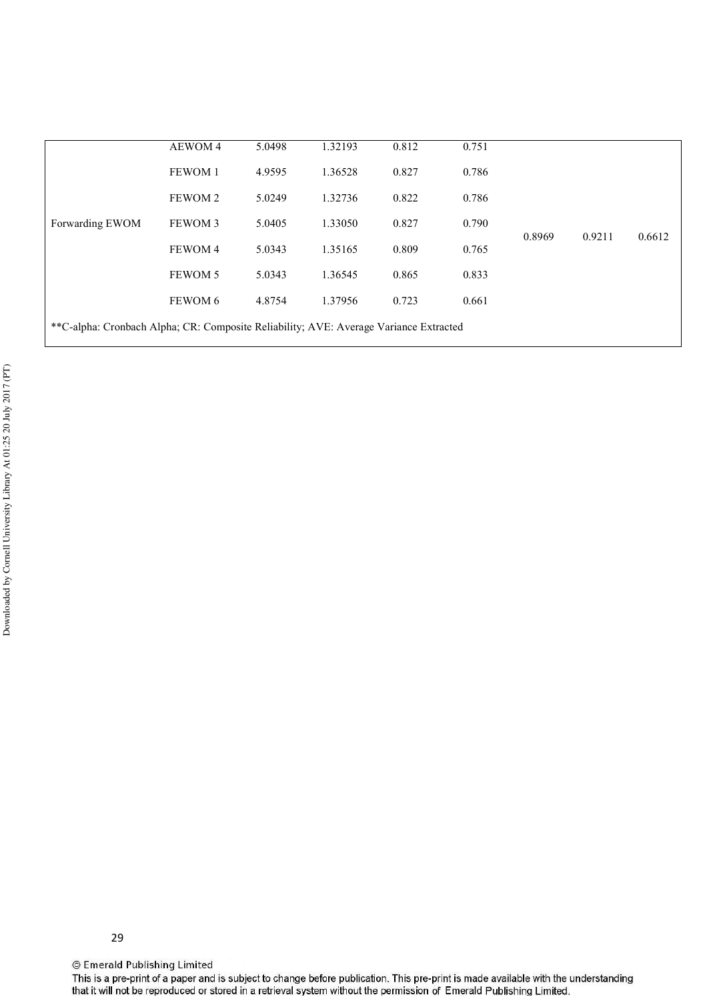|                                                                                       | <b>AEWOM4</b> | 5.0498 | 1.32193 | 0.812 | 0.751 |        |        |        |
|---------------------------------------------------------------------------------------|---------------|--------|---------|-------|-------|--------|--------|--------|
|                                                                                       | FEWOM 1       | 4.9595 | 1.36528 | 0.827 | 0.786 | 0.8969 | 0.9211 | 0.6612 |
|                                                                                       | FEWOM 2       | 5.0249 | 1.32736 | 0.822 | 0.786 |        |        |        |
| Forwarding EWOM                                                                       | FEWOM 3       | 5.0405 | 1.33050 | 0.827 | 0.790 |        |        |        |
|                                                                                       | FEWOM 4       | 5.0343 | 1.35165 | 0.809 | 0.765 |        |        |        |
|                                                                                       | FEWOM 5       | 5.0343 | 1.36545 | 0.865 | 0.833 |        |        |        |
|                                                                                       | FEWOM 6       | 4.8754 | 1.37956 | 0.723 | 0.661 |        |        |        |
| **C-alpha: Cronbach Alpha; CR: Composite Reliability; AVE: Average Variance Extracted |               |        |         |       |       |        |        |        |

29

© Emerald Publishing Limited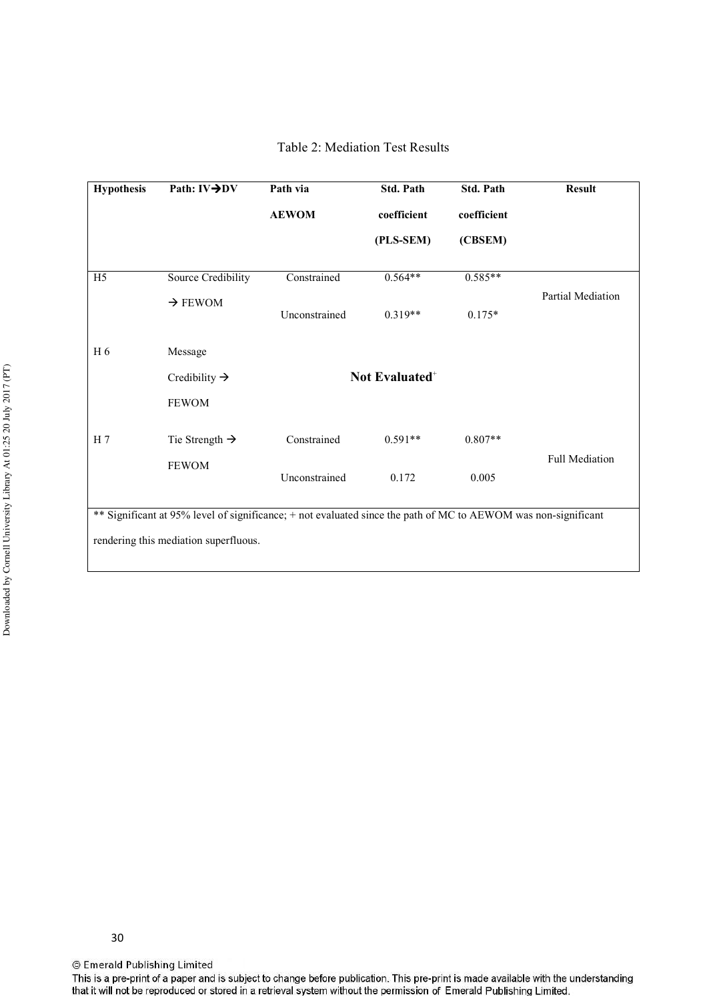| <b>Hypothesis</b>                                                                                              | Path: IV→DV                | Path via      | <b>Std. Path</b> | <b>Std. Path</b> | <b>Result</b>            |  |  |
|----------------------------------------------------------------------------------------------------------------|----------------------------|---------------|------------------|------------------|--------------------------|--|--|
|                                                                                                                |                            | <b>AEWOM</b>  | coefficient      | coefficient      |                          |  |  |
|                                                                                                                |                            |               | (PLS-SEM)        | (CBSEM)          |                          |  |  |
| H <sub>5</sub>                                                                                                 | Source Credibility         | Constrained   | $0.564**$        | $0.585**$        |                          |  |  |
|                                                                                                                | $\rightarrow$ FEWOM        | Unconstrained | $0.319**$        | $0.175*$         | <b>Partial Mediation</b> |  |  |
| H <sub>6</sub>                                                                                                 | Message                    |               |                  |                  |                          |  |  |
|                                                                                                                | Credibility $\rightarrow$  |               |                  |                  |                          |  |  |
|                                                                                                                | <b>FEWOM</b>               |               |                  |                  |                          |  |  |
| H <sub>7</sub>                                                                                                 | Tie Strength $\rightarrow$ | Constrained   | $0.591**$        | $0.807**$        |                          |  |  |
|                                                                                                                | <b>FEWOM</b>               | Unconstrained | 0.172            | 0.005            | <b>Full Mediation</b>    |  |  |
| ** Significant at 95% level of significance; + not evaluated since the path of MC to AEWOM was non-significant |                            |               |                  |                  |                          |  |  |
| rendering this mediation superfluous.                                                                          |                            |               |                  |                  |                          |  |  |

Table 2: Mediation Test Results

30

© Emerald Publishing Limited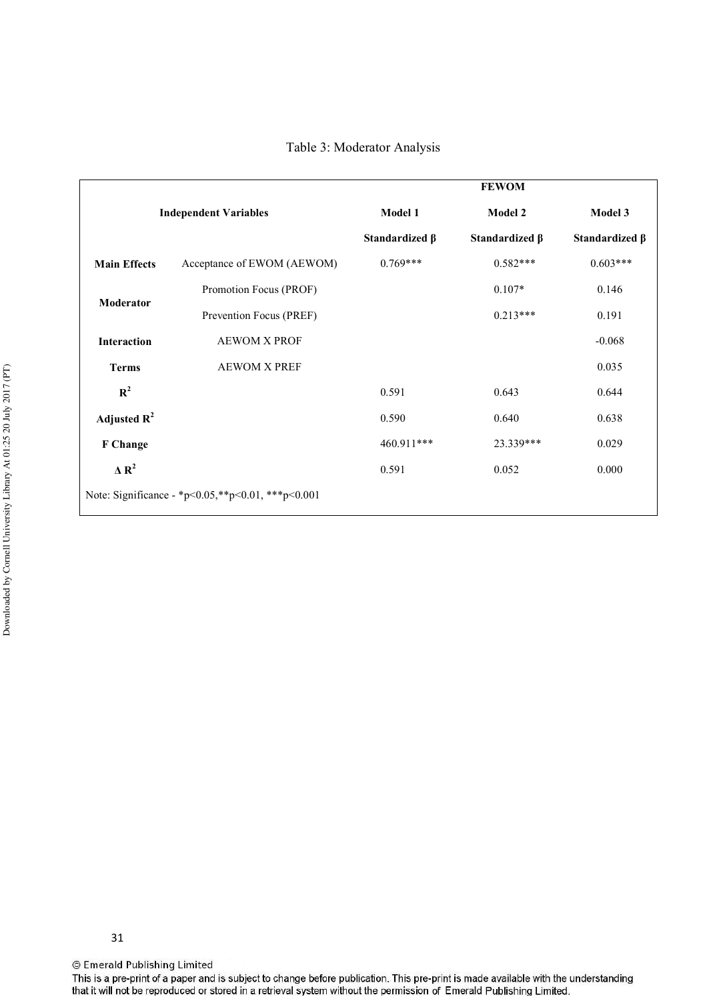Table 3: Moderator Analysis

|                                                   |                            |                      | <b>FEWOM</b>         |                      |  |  |
|---------------------------------------------------|----------------------------|----------------------|----------------------|----------------------|--|--|
| <b>Independent Variables</b>                      |                            | Model 1              | Model 2              | Model 3              |  |  |
|                                                   |                            | Standardized $\beta$ | Standardized $\beta$ | Standardized $\beta$ |  |  |
| <b>Main Effects</b>                               | Acceptance of EWOM (AEWOM) | $0.769***$           | $0.582***$           | $0.603***$           |  |  |
| <b>Moderator</b>                                  | Promotion Focus (PROF)     |                      | $0.107*$             | 0.146                |  |  |
|                                                   | Prevention Focus (PREF)    |                      | $0.213***$           | 0.191                |  |  |
| <b>Interaction</b>                                | <b>AEWOM X PROF</b>        |                      |                      | $-0.068$             |  |  |
| <b>Terms</b>                                      | <b>AEWOM X PREF</b>        |                      |                      | 0.035                |  |  |
| $\mathbb{R}^2$                                    |                            | 0.591                | 0.643                | 0.644                |  |  |
| Adjusted $R^2$                                    |                            | 0.590                | 0.640                | 0.638                |  |  |
| F Change                                          |                            | 460.911***           | 23.339***            | 0.029                |  |  |
| $\Delta$ R <sup>2</sup>                           |                            | 0.591                | 0.052                | 0.000                |  |  |
| Note: Significance - *p<0.05,**p<0.01, ***p<0.001 |                            |                      |                      |                      |  |  |

31

© Emerald Publishing Limited